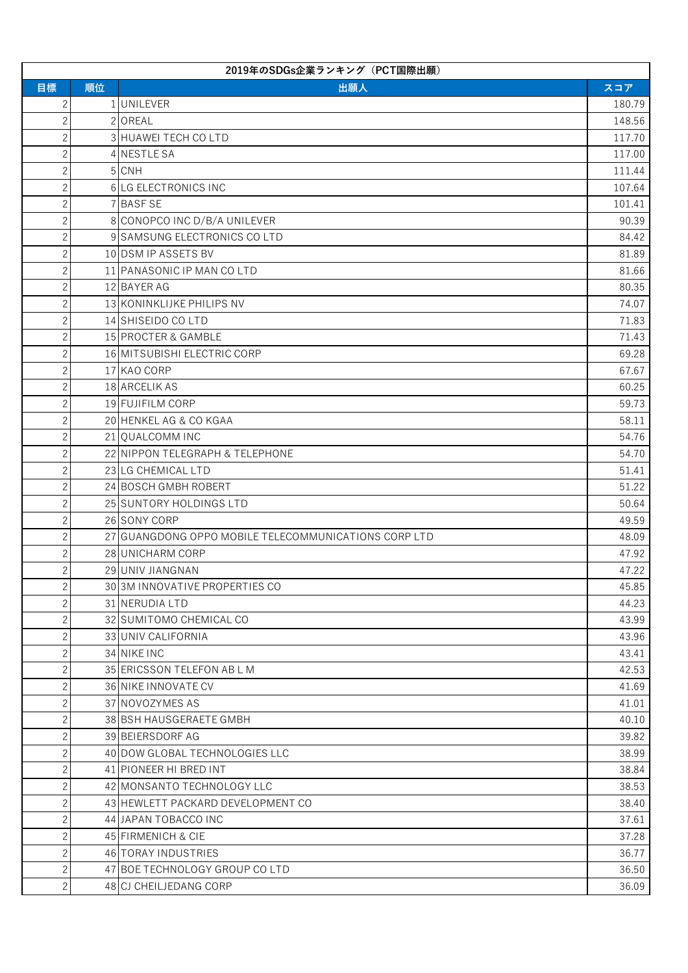| 2019年のSDGs企業ランキング (PCT国際出願) |    |                                                      |        |
|-----------------------------|----|------------------------------------------------------|--------|
| 目標                          | 順位 | 出願人                                                  | スコア    |
| $\mathbf{2}$                |    | 1 UNILEVER                                           | 180.79 |
| $\overline{c}$              |    | 2 OREAL                                              | 148.56 |
| $\overline{c}$              |    | 3 HUAWEI TECH CO LTD                                 | 117.70 |
| $\overline{c}$              |    | 4 NESTLE SA                                          | 117.00 |
| $\overline{c}$              |    | 5 CNH                                                | 111.44 |
| $\overline{c}$              |    | 6 LG ELECTRONICS INC                                 | 107.64 |
| $\mathbf{2}$                |    | 7 BASF SE                                            | 101.41 |
| $\overline{2}$              |    | 8 CONOPCO INC D/B/A UNILEVER                         | 90.39  |
| $\overline{c}$              |    | 9 SAMSUNG ELECTRONICS COLTD                          | 84.42  |
| $\mathbf{2}$                |    | 10 DSM IP ASSETS BV                                  | 81.89  |
| $\overline{c}$              |    | 11 PANASONIC IP MAN CO LTD                           | 81.66  |
| $\overline{c}$              |    | 12 BAYER AG                                          | 80.35  |
| $\overline{2}$              |    | 13 KONINKLIJKE PHILIPS NV                            | 74.07  |
| $\overline{c}$              |    | 14 SHISEIDO CO LTD                                   | 71.83  |
| $\mathbf{2}$                |    | 15 PROCTER & GAMBLE                                  | 71.43  |
| $\overline{c}$              |    | 16 MITSUBISHI ELECTRIC CORP                          | 69.28  |
| $\overline{c}$              |    | 17 KAO CORP                                          | 67.67  |
| $\overline{2}$              |    | 18 ARCELIK AS                                        | 60.25  |
| $\mathbf{2}$                |    | 19 FUJIFILM CORP                                     | 59.73  |
| $\mathbf{2}$                |    | 20 HENKEL AG & CO KGAA                               | 58.11  |
| $\overline{c}$              |    | 21 QUALCOMM INC                                      | 54.76  |
| $\overline{c}$              |    | 22 NIPPON TELEGRAPH & TELEPHONE                      | 54.70  |
| $\overline{2}$              |    | 23 LG CHEMICAL LTD                                   | 51.41  |
| $\mathbf{2}$                |    | 24 BOSCH GMBH ROBERT                                 | 51.22  |
| $\mathbf{2}$                |    | 25 SUNTORY HOLDINGS LTD                              | 50.64  |
| $\overline{c}$              |    | 26 SONY CORP                                         | 49.59  |
| $\mathbf{2}$                |    | 27 GUANGDONG OPPO MOBILE TELECOMMUNICATIONS CORP LTD | 48.09  |
| $\overline{2}$              |    | 28 UNICHARM CORP                                     | 47.92  |
| $\mathbf{2}$                |    | 29 UNIV JIANGNAN                                     | 47.22  |
| $\overline{c}$              |    | 30 3M INNOVATIVE PROPERTIES CO                       | 45.85  |
| $\overline{c}$              |    | 31 NERUDIA LTD                                       | 44.23  |
| $\overline{c}$              |    | 32 SUMITOMO CHEMICAL CO                              | 43.99  |
| $\overline{2}$              |    | 33 UNIV CALIFORNIA                                   | 43.96  |
| $\mathbf{2}$                |    | 34 NIKE INC                                          | 43.41  |
| $\mathbf{2}$                |    | 35 ERICSSON TELEFON AB L M                           | 42.53  |
| $\overline{c}$              |    | 36 NIKE INNOVATE CV                                  | 41.69  |
| $\overline{c}$              |    | 37 NOVOZYMES AS                                      | 41.01  |
| $\overline{2}$              |    | 38 BSH HAUSGERAETE GMBH                              | 40.10  |
| $\mathbf{2}$                |    | 39 BEIERSDORF AG                                     | 39.82  |
| $\mathbf{2}$                |    | 40 DOW GLOBAL TECHNOLOGIES LLC                       | 38.99  |
| $\overline{c}$              |    | 41 PIONEER HI BRED INT                               | 38.84  |
| $\overline{c}$              |    | 42 MONSANTO TECHNOLOGY LLC                           | 38.53  |
| $\overline{c}$              |    | 43 HEWLETT PACKARD DEVELOPMENT CO                    | 38.40  |
| $\mathbf{2}$                |    | 44 JAPAN TOBACCO INC                                 | 37.61  |
| $\mathbf{2}$                |    | 45 FIRMENICH & CIE                                   | 37.28  |
| $\overline{c}$              |    | 46 TORAY INDUSTRIES                                  | 36.77  |
| $\overline{c}$              |    | 47 BOE TECHNOLOGY GROUP CO LTD                       | 36.50  |
| $\overline{2}$              |    | 48 CJ CHEILJEDANG CORP                               | 36.09  |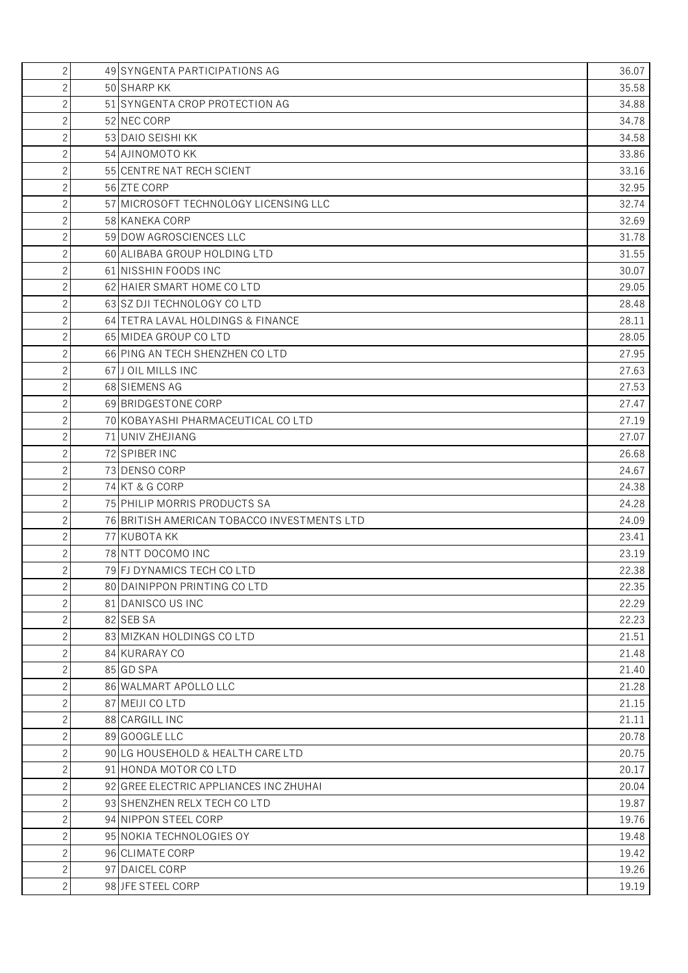| $\overline{c}$ | 49 SYNGENTA PARTICIPATIONS AG               | 36.07 |
|----------------|---------------------------------------------|-------|
| $\overline{2}$ | 50 SHARP KK                                 | 35.58 |
| $\mathbf{2}$   | 51 SYNGENTA CROP PROTECTION AG              | 34.88 |
| $\mathbf{2}$   | 52 NEC CORP                                 | 34.78 |
| $\overline{2}$ | 53 DAIO SEISHI KK                           | 34.58 |
| $\mathbf{2}$   | 54 AJINOMOTO KK                             | 33.86 |
| $\overline{2}$ | 55 CENTRE NAT RECH SCIENT                   | 33.16 |
| $\mathbf{2}$   | 56 ZTE CORP                                 | 32.95 |
| $\mathbf{2}$   | 57 MICROSOFT TECHNOLOGY LICENSING LLC       | 32.74 |
| $\mathbf{2}$   | 58 KANEKA CORP                              | 32.69 |
| $\mathbf{2}$   | 59 DOW AGROSCIENCES LLC                     | 31.78 |
| $\overline{2}$ | 60 ALIBABA GROUP HOLDING LTD                | 31.55 |
| $\mathbf{2}$   | 61 NISSHIN FOODS INC                        | 30.07 |
| $\mathbf{2}$   | 62 HAIER SMART HOME CO LTD                  | 29.05 |
| $\overline{c}$ | 63 SZ DJI TECHNOLOGY CO LTD                 | 28.48 |
| $\mathbf{2}$   | 64 TETRA LAVAL HOLDINGS & FINANCE           | 28.11 |
| $\overline{2}$ | 65 MIDEA GROUP CO LTD                       | 28.05 |
| $\mathbf{2}$   | 66 PING AN TECH SHENZHEN CO LTD             | 27.95 |
| $\mathbf{2}$   | 67 J OIL MILLS INC                          | 27.63 |
| $\overline{2}$ | 68 SIEMENS AG                               | 27.53 |
| $\mathbf{2}$   | 69 BRIDGESTONE CORP                         | 27.47 |
| $\overline{c}$ | 70 KOBAYASHI PHARMACEUTICAL CO LTD          | 27.19 |
| $\mathbf{2}$   | 71 UNIV ZHEJIANG                            | 27.07 |
| $\mathbf{2}$   | 72 SPIBER INC                               | 26.68 |
| $\overline{2}$ | 73 DENSO CORP                               | 24.67 |
| $\overline{2}$ | 74 KT & G CORP                              | 24.38 |
| $\overline{c}$ | 75 PHILIP MORRIS PRODUCTS SA                | 24.28 |
| $\mathbf{2}$   | 76 BRITISH AMERICAN TOBACCO INVESTMENTS LTD | 24.09 |
| $\mathbf{2}$   | 77 KUBOTA KK                                | 23.41 |
| $\overline{2}$ | 78 NTT DOCOMO INC                           | 23.19 |
| $\overline{2}$ | 79 FJ DYNAMICS TECH CO LTD                  | 22.38 |
| $\overline{c}$ | 80 DAINIPPON PRINTING CO LTD                | 22.35 |
| $\overline{c}$ | 81 DANISCO US INC                           | 22.29 |
| $\mathbf{2}$   | 82 SEB SA                                   | 22.23 |
| $\overline{c}$ | 83 MIZKAN HOLDINGS CO LTD                   | 21.51 |
| $\mathbf{2}$   | 84 KURARAY CO                               | 21.48 |
| $\mathbf{2}$   | 85 GD SPA                                   | 21.40 |
| $\mathbf{2}$   | 86 WALMART APOLLO LLC                       | 21.28 |
| $\mathbf{2}$   | 87 MEIJI CO LTD                             | 21.15 |
| $\overline{c}$ | 88 CARGILL INC                              | 21.11 |
| $\mathbf{2}$   | 89 GOOGLE LLC                               | 20.78 |
| $\mathbf{2}$   | 90 LG HOUSEHOLD & HEALTH CARE LTD           | 20.75 |
| $\mathbf{2}$   | 91 HONDA MOTOR CO LTD                       | 20.17 |
| $\mathbf{2}$   | 92 GREE ELECTRIC APPLIANCES INC ZHUHAI      | 20.04 |
| $\mathbf{2}$   | 93 SHENZHEN RELX TECH COLTD                 | 19.87 |
| $\overline{c}$ | 94 NIPPON STEEL CORP                        | 19.76 |
| $\mathbf{2}$   | 95 NOKIA TECHNOLOGIES OY                    | 19.48 |
| $\overline{c}$ | 96 CLIMATE CORP                             | 19.42 |
| $\mathbf{2}$   | 97 DAICEL CORP                              | 19.26 |
| $\overline{c}$ | 98 JFE STEEL CORP                           | 19.19 |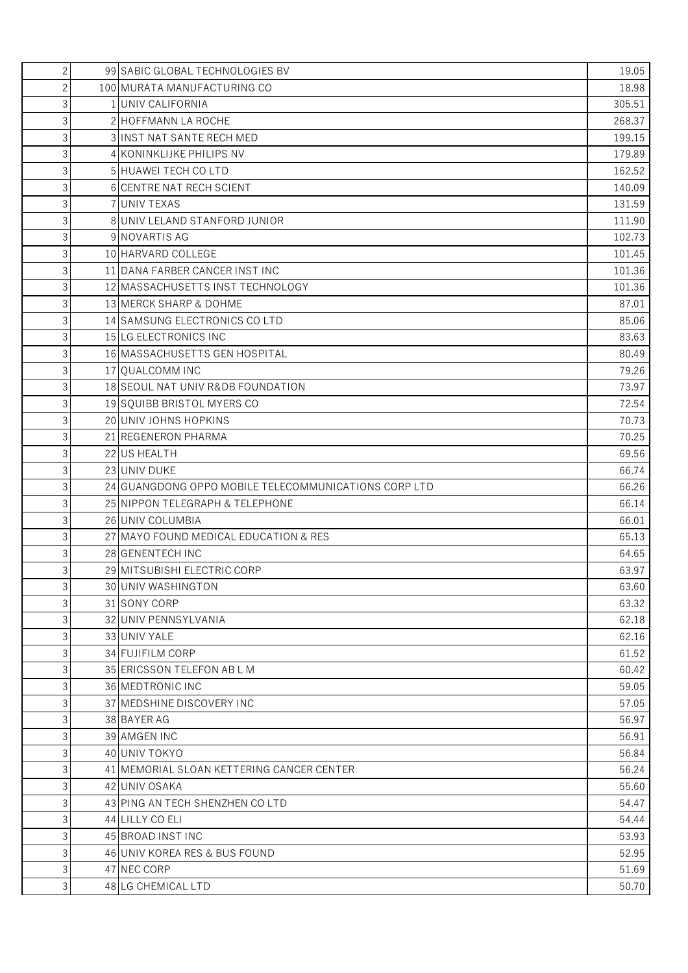| $\overline{c}$ | 99 SABIC GLOBAL TECHNOLOGIES BV                      | 19.05  |
|----------------|------------------------------------------------------|--------|
| 2              | 100 MURATA MANUFACTURING CO                          | 18.98  |
| 3              | 1 UNIV CALIFORNIA                                    | 305.51 |
| 3              | 2 HOFFMANN LA ROCHE                                  | 268.37 |
| $\overline{3}$ | 3 INST NAT SANTE RECH MED                            | 199.15 |
| 3              | 4 KONINKLIJKE PHILIPS NV                             | 179.89 |
| 3              | 5 HUAWEI TECH CO LTD                                 | 162.52 |
| 3              | 6 CENTRE NAT RECH SCIENT                             | 140.09 |
| 3              | 7 UNIV TEXAS                                         | 131.59 |
| 3              | 8 UNIV LELAND STANFORD JUNIOR                        | 111.90 |
| 3              | 9 NOVARTIS AG                                        | 102.73 |
| 3              | 10 HARVARD COLLEGE                                   | 101.45 |
| 3              | 11 DANA FARBER CANCER INST INC                       | 101.36 |
| 3              | 12 MASSACHUSETTS INST TECHNOLOGY                     | 101.36 |
| 3              | 13 MERCK SHARP & DOHME                               | 87.01  |
| 3              | 14 SAMSUNG ELECTRONICS COLTD                         | 85.06  |
| 3              | 15 LG ELECTRONICS INC                                | 83.63  |
| 3              | 16 MASSACHUSETTS GEN HOSPITAL                        | 80.49  |
| 3              | 17 QUALCOMM INC                                      | 79.26  |
| 3              | 18 SEOUL NAT UNIV R&DB FOUNDATION                    | 73.97  |
| 3              | 19 SQUIBB BRISTOL MYERS CO                           | 72.54  |
| 3              | 20 UNIV JOHNS HOPKINS                                | 70.73  |
| 3              | 21 REGENERON PHARMA                                  | 70.25  |
| 3              | 22 US HEALTH                                         | 69.56  |
| 3              | 23 UNIV DUKE                                         | 66.74  |
| 3              | 24 GUANGDONG OPPO MOBILE TELECOMMUNICATIONS CORP LTD | 66.26  |
| 3              | 25 NIPPON TELEGRAPH & TELEPHONE                      | 66.14  |
| 3              | 26 UNIV COLUMBIA                                     | 66.01  |
| 3              | 27 MAYO FOUND MEDICAL EDUCATION & RES                | 65.13  |
| 3              | 28 GENENTECH INC                                     | 64.65  |
| 3              | 29 MITSUBISHI ELECTRIC CORP                          | 63.97  |
| 3 <sup>1</sup> | 30 UNIV WASHINGTON                                   | 63.60  |
| 3              | 31 SONY CORP                                         | 63.32  |
| 3              | 32 UNIV PENNSYLVANIA                                 | 62.18  |
| 3              | 33 UNIV YALE                                         | 62.16  |
| 3              | 34 FUJIFILM CORP                                     | 61.52  |
| 3              | 35 ERICSSON TELEFON AB L M                           | 60.42  |
| 3              | 36 MEDTRONIC INC                                     | 59.05  |
| 3              | 37 MEDSHINE DISCOVERY INC                            | 57.05  |
| 3              | 38 BAYER AG                                          | 56.97  |
| 3              | 39 AMGEN INC                                         | 56.91  |
| 3              | 40 UNIV TOKYO                                        | 56.84  |
| 3              | 41 MEMORIAL SLOAN KETTERING CANCER CENTER            | 56.24  |
| 3              | 42 UNIV OSAKA                                        | 55.60  |
| 3              | 43 PING AN TECH SHENZHEN CO LTD                      | 54.47  |
| 3              | 44 LILLY CO ELI                                      | 54.44  |
| 3              | 45 BROAD INST INC                                    | 53.93  |
| 3              | 46 UNIV KOREA RES & BUS FOUND                        | 52.95  |
| 3              | 47 NEC CORP                                          | 51.69  |
| 3              | 48 LG CHEMICAL LTD                                   | 50.70  |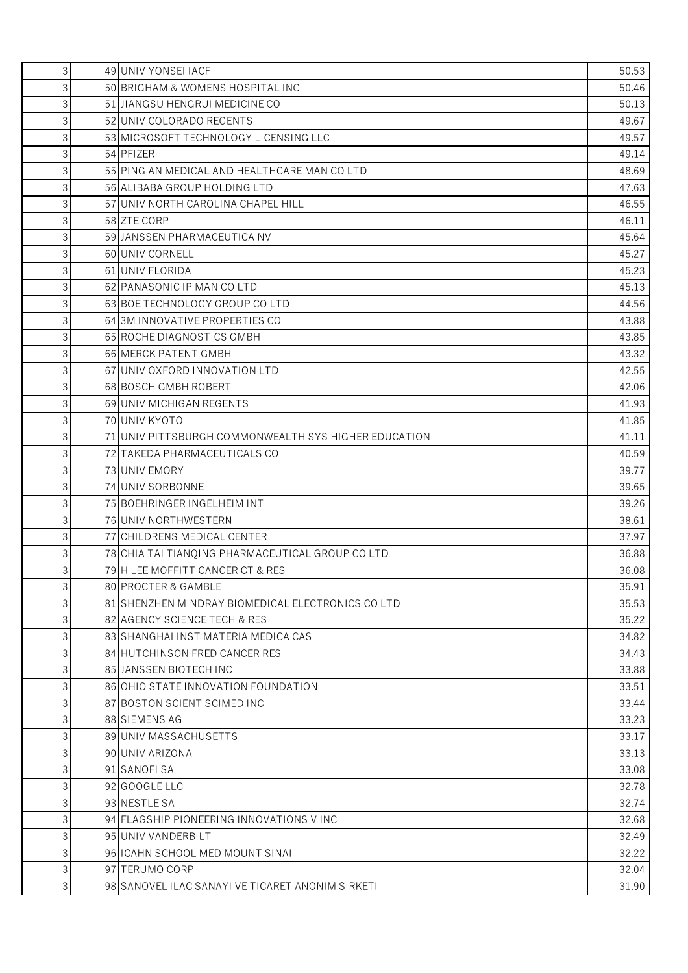| 3              | 49 UNIV YONSELIACF                                    | 50.53 |
|----------------|-------------------------------------------------------|-------|
| 3              | 50 BRIGHAM & WOMENS HOSPITAL INC                      | 50.46 |
| 3              | 51 JIANGSU HENGRUI MEDICINE CO                        | 50.13 |
| 3              | 52 UNIV COLORADO REGENTS                              | 49.67 |
| 3              | 53 MICROSOFT TECHNOLOGY LICENSING LLC                 | 49.57 |
| 3              | 54 PFIZER                                             | 49.14 |
| 3              | 55 PING AN MEDICAL AND HEALTHCARE MAN COLTD           | 48.69 |
| 3              | 56 ALIBABA GROUP HOLDING LTD                          | 47.63 |
| 3              | 57 JUNIV NORTH CAROLINA CHAPEL HILL                   | 46.55 |
| 3              | 58 ZTE CORP                                           | 46.11 |
| 3              | 59 JANSSEN PHARMACEUTICA NV                           | 45.64 |
| 3              | 60 UNIV CORNELL                                       | 45.27 |
| 3              | 61 UNIV FLORIDA                                       | 45.23 |
| 3              | 62 PANASONIC IP MAN CO LTD                            | 45.13 |
| 3              | 63 BOE TECHNOLOGY GROUP CO LTD                        | 44.56 |
| 3              | 64 3M INNOVATIVE PROPERTIES CO                        | 43.88 |
| 3              | 65 ROCHE DIAGNOSTICS GMBH                             | 43.85 |
| 3              | 66 MERCK PATENT GMBH                                  | 43.32 |
| 3              | 67 UNIV OXFORD INNOVATION LTD                         | 42.55 |
| 3              | 68 BOSCH GMBH ROBERT                                  | 42.06 |
| 3              | 69 UNIV MICHIGAN REGENTS                              | 41.93 |
| 3              | 70 UNIV KYOTO                                         | 41.85 |
| 3              | 71 JUNIV PITTSBURGH COMMONWEALTH SYS HIGHER EDUCATION | 41.11 |
| 3              | 72 TAKEDA PHARMACEUTICALS CO                          | 40.59 |
| 3              | 73 UNIV EMORY                                         | 39.77 |
| 3              | 74 UNIV SORBONNE                                      | 39.65 |
| 3              | 75 BOEHRINGER INGELHEIM INT                           | 39.26 |
| 3              | 76 UNIV NORTHWESTERN                                  | 38.61 |
| 3              | 77 CHILDRENS MEDICAL CENTER                           | 37.97 |
| 3              | 78 CHIA TAI TIANOING PHARMACEUTICAL GROUP CO LTD      | 36.88 |
| 3              | 79 H LEE MOFFITT CANCER CT & RES                      | 36.08 |
| 3              | 80 PROCTER & GAMBLE                                   | 35.91 |
| 3              | 81 SHENZHEN MINDRAY BIOMEDICAL ELECTRONICS COLTD      | 35.53 |
| 3              | 82 AGENCY SCIENCE TECH & RES                          | 35.22 |
| 3              | 83 SHANGHAI INST MATERIA MEDICA CAS                   | 34.82 |
| 3              | 84 HUTCHINSON FRED CANCER RES                         | 34.43 |
| 3              | 85 JANSSEN BIOTECH INC                                | 33.88 |
| 3              | 86 OHIO STATE INNOVATION FOUNDATION                   | 33.51 |
| 3              | 87 BOSTON SCIENT SCIMED INC                           | 33.44 |
| 3              | 88 SIEMENS AG                                         | 33.23 |
| 3              | 89 UNIV MASSACHUSETTS                                 | 33.17 |
| 3              | 90 UNIV ARIZONA                                       | 33.13 |
| 3              | 91 SANOFI SA                                          | 33.08 |
| 3              | 92 GOOGLE LLC                                         | 32.78 |
| 3              | 93 NESTLE SA                                          | 32.74 |
| 3              | 94 FLAGSHIP PIONEERING INNOVATIONS VINC               | 32.68 |
| 3              | 95 UNIV VANDERBILT                                    | 32.49 |
| 3              | 96 I CAHN SCHOOL MED MOUNT SINAI                      | 32.22 |
| 3              | 97 TERUMO CORP                                        | 32.04 |
| 3 <sup>1</sup> | 98 SANOVEL ILAC SANAYI VE TICARET ANONIM SIRKETI      | 31.90 |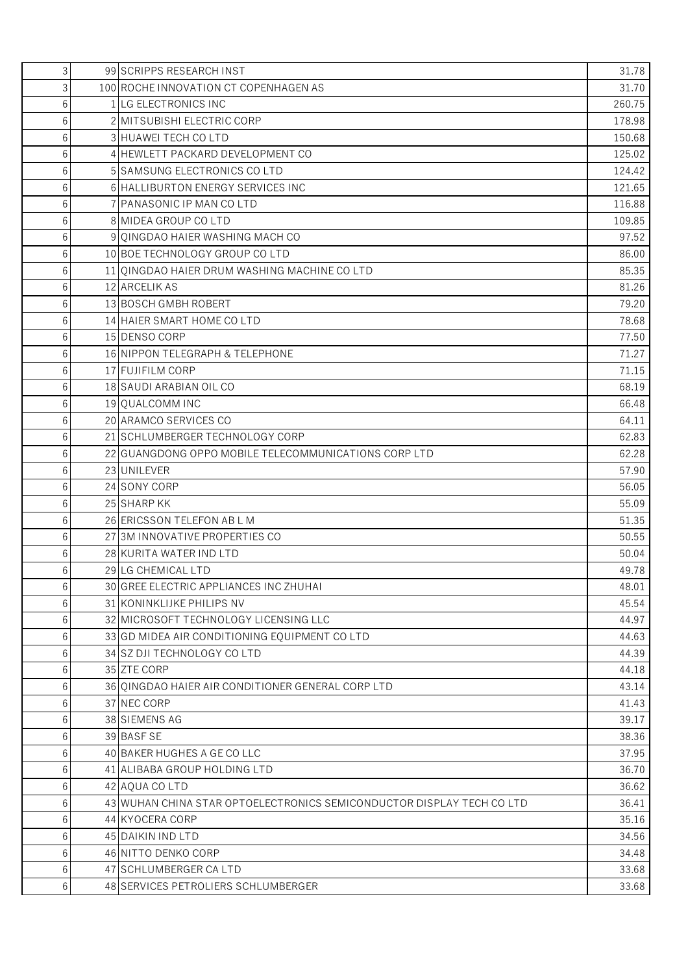| 3 | 99 SCRIPPS RESEARCH INST                                              | 31.78  |
|---|-----------------------------------------------------------------------|--------|
| 3 | 100 ROCHE INNOVATION CT COPENHAGEN AS                                 | 31.70  |
| 6 | 1 LG ELECTRONICS INC                                                  | 260.75 |
| 6 | 2 MITSUBISHI ELECTRIC CORP                                            | 178.98 |
| 6 | 3 HUAWEI TECH CO LTD                                                  | 150.68 |
| 6 | 4 HEWLETT PACKARD DEVELOPMENT CO                                      | 125.02 |
| 6 | 5 SAMSUNG ELECTRONICS COLTD                                           | 124.42 |
| 6 | 6 HALLIBURTON ENERGY SERVICES INC                                     | 121.65 |
| 6 | 7 PANASONIC IP MAN CO LTD                                             | 116.88 |
| 6 | 8 MIDEA GROUP CO LTD                                                  | 109.85 |
| 6 | 9 QINGDAO HAIER WASHING MACH CO                                       | 97.52  |
| 6 | 10 BOE TECHNOLOGY GROUP COLTD                                         | 86.00  |
| 6 | 11 QINGDAO HAIER DRUM WASHING MACHINE CO LTD                          | 85.35  |
| 6 | 12 ARCELIK AS                                                         | 81.26  |
| 6 | 13 BOSCH GMBH ROBERT                                                  | 79.20  |
| 6 | 14 HAIER SMART HOME CO LTD                                            | 78.68  |
| 6 | 15 DENSO CORP                                                         | 77.50  |
| 6 | 16 NIPPON TELEGRAPH & TELEPHONE                                       | 71.27  |
| 6 | 17 FUJIFILM CORP                                                      | 71.15  |
| 6 | 18 SAUDI ARABIAN OIL CO                                               | 68.19  |
| 6 | 19 QUALCOMM INC                                                       | 66.48  |
| 6 | 20 ARAMCO SERVICES CO                                                 | 64.11  |
| 6 | 21 SCHLUMBERGER TECHNOLOGY CORP                                       | 62.83  |
| 6 | 22 GUANGDONG OPPO MOBILE TELECOMMUNICATIONS CORP LTD                  | 62.28  |
| 6 | 23 UNILEVER                                                           | 57.90  |
| 6 | 24 SONY CORP                                                          | 56.05  |
| 6 | 25 SHARP KK                                                           | 55.09  |
| 6 | 26 ERICSSON TELEFON AB L M                                            | 51.35  |
| 6 | 27 3M INNOVATIVE PROPERTIES CO                                        | 50.55  |
| 6 | 28 KURITA WATER IND LTD                                               | 50.04  |
| 6 | 29 LG CHEMICAL LTD                                                    | 49.78  |
| 6 | 30 GREE ELECTRIC APPLIANCES INC ZHUHAI                                | 48.01  |
| 6 | <b>31 KONINKLIJKE PHILIPS NV</b>                                      | 45.54  |
| 6 | 32 MICROSOFT TECHNOLOGY LICENSING LLC                                 | 44.97  |
| 6 | 33 GD MIDEA AIR CONDITIONING EQUIPMENT COLTD                          | 44.63  |
| 6 | 34 SZ DJI TECHNOLOGY CO LTD                                           | 44.39  |
| 6 | 35 ZTE CORP                                                           | 44.18  |
| 6 | 36 OINGDAO HAIER AIR CONDITIONER GENERAL CORP LTD                     | 43.14  |
| 6 | 37 NEC CORP                                                           | 41.43  |
| 6 | 38 SIEMENS AG                                                         | 39.17  |
| 6 | 39 BASF SE                                                            | 38.36  |
| 6 | 40 BAKER HUGHES A GE CO LLC                                           | 37.95  |
| 6 | 41 ALIBABA GROUP HOLDING LTD                                          | 36.70  |
| 6 | 42 AQUA CO LTD                                                        | 36.62  |
| 6 | 43 WUHAN CHINA STAR OPTOELECTRONICS SEMICONDUCTOR DISPLAY TECH CO LTD | 36.41  |
| 6 | 44 KYOCERA CORP                                                       | 35.16  |
| 6 | 45 DAIKIN IND LTD                                                     | 34.56  |
| 6 | 46 NITTO DENKO CORP                                                   | 34.48  |
| 6 | 47 SCHLUMBERGER CA LTD                                                | 33.68  |
| 6 | 48 SERVICES PETROLIERS SCHLUMBERGER                                   | 33.68  |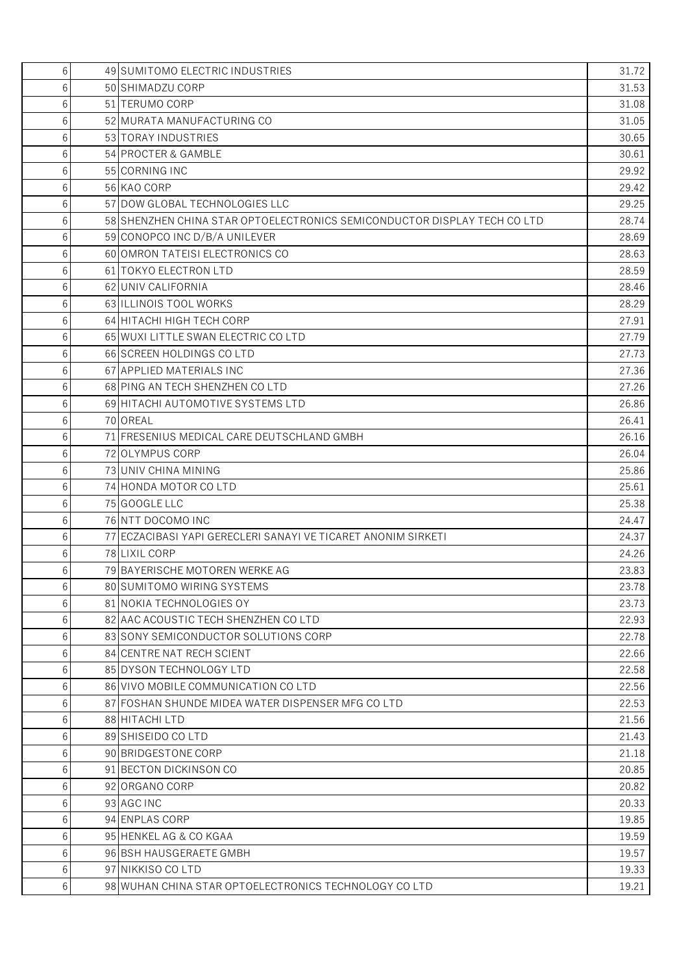| 6 | 49 SUMITOMO ELECTRIC INDUSTRIES                                          | 31.72 |
|---|--------------------------------------------------------------------------|-------|
| 6 | 50 SHIMADZU CORP                                                         | 31.53 |
| 6 | 51 TERUMO CORP                                                           | 31.08 |
| 6 | 52 MURATA MANUFACTURING CO                                               | 31.05 |
| 6 | 53 TORAY INDUSTRIES                                                      | 30.65 |
| 6 | 54 PROCTER & GAMBLE                                                      | 30.61 |
| 6 | 55 CORNING INC                                                           | 29.92 |
| 6 | 56 KAO CORP                                                              | 29.42 |
| 6 | 57 DOW GLOBAL TECHNOLOGIES LLC                                           | 29.25 |
| 6 | 58 SHENZHEN CHINA STAR OPTOELECTRONICS SEMICONDUCTOR DISPLAY TECH CO LTD | 28.74 |
| 6 | 59 CONOPCO INC D/B/A UNILEVER                                            | 28.69 |
| 6 | 60 OMRON TATEISI ELECTRONICS CO                                          | 28.63 |
| 6 | 61 TOKYO ELECTRON LTD                                                    | 28.59 |
| 6 | 62 UNIV CALIFORNIA                                                       | 28.46 |
| 6 | 63 ILLINOIS TOOL WORKS                                                   | 28.29 |
| 6 | 64 HITACHI HIGH TECH CORP                                                | 27.91 |
| 6 | 65 WUXI LITTLE SWAN ELECTRIC CO LTD                                      | 27.79 |
| 6 | 66 SCREEN HOLDINGS COLTD                                                 | 27.73 |
| 6 | 67 APPLIED MATERIALS INC                                                 | 27.36 |
| 6 | 68 PING AN TECH SHENZHEN CO LTD                                          | 27.26 |
| 6 | 69 HITACHI AUTOMOTIVE SYSTEMS LTD                                        | 26.86 |
| 6 | 70 OREAL                                                                 | 26.41 |
| 6 | 71 FRESENIUS MEDICAL CARE DEUTSCHLAND GMBH                               | 26.16 |
| 6 | 72 OLYMPUS CORP                                                          | 26.04 |
| 6 | 73 UNIV CHINA MINING                                                     | 25.86 |
| 6 | 74 HONDA MOTOR CO LTD                                                    | 25.61 |
| 6 | 75 GOOGLE LLC                                                            | 25.38 |
| 6 | 76 NTT DOCOMO INC                                                        | 24.47 |
| 6 | 77 ECZACIBASI YAPI GERECLERI SANAYI VE TICARET ANONIM SIRKETI            | 24.37 |
| 6 | 78 LIXIL CORP                                                            | 24.26 |
| 6 | 79 BAYERISCHE MOTOREN WERKE AG                                           | 23.83 |
| 6 | 80 SUMITOMO WIRING SYSTEMS                                               | 23.78 |
| 6 | 81 NOKIA TECHNOLOGIES OY                                                 | 23.73 |
| 6 | 82 AAC ACOUSTIC TECH SHENZHEN COLTD                                      | 22.93 |
| 6 | 83 SONY SEMICONDUCTOR SOLUTIONS CORP                                     | 22.78 |
| 6 | 84 CENTRE NAT RECH SCIENT                                                | 22.66 |
| 6 | 85 DYSON TECHNOLOGY LTD                                                  | 22.58 |
| 6 | 86 VIVO MOBILE COMMUNICATION COLTD                                       | 22.56 |
| 6 | 87 FOSHAN SHUNDE MIDEA WATER DISPENSER MFG COLTD                         | 22.53 |
| 6 | 88 HITACHI LTD                                                           | 21.56 |
| 6 | 89 SHISEIDO CO LTD                                                       | 21.43 |
| 6 | 90 BRIDGESTONE CORP                                                      | 21.18 |
| 6 | 91 BECTON DICKINSON CO                                                   | 20.85 |
| 6 | 92 ORGANO CORP                                                           | 20.82 |
| 6 | 93 AGC INC                                                               | 20.33 |
| 6 | 94 ENPLAS CORP                                                           | 19.85 |
| 6 | 95 HENKEL AG & CO KGAA                                                   | 19.59 |
| 6 | 96 BSH HAUSGERAETE GMBH                                                  | 19.57 |
| 6 | 97 NIKKISO CO LTD                                                        | 19.33 |
| 6 | 98 WUHAN CHINA STAR OPTOELECTRONICS TECHNOLOGY COLTD                     | 19.21 |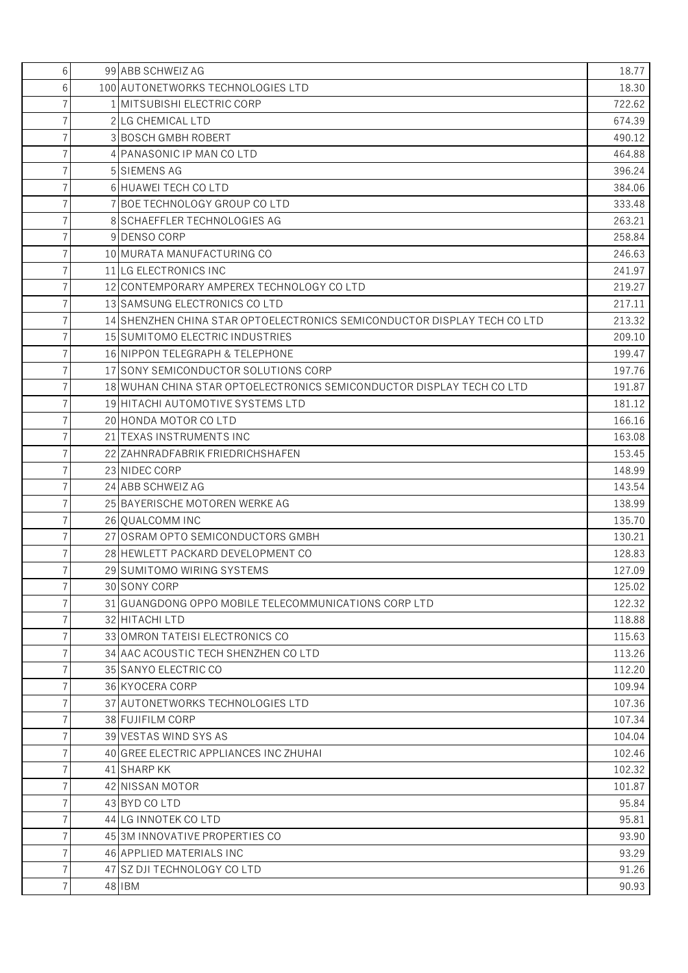| 6<br>100 AUTONETWORKS TECHNOLOGIES LTD<br>18.30<br>1 MITSUBISHI ELECTRIC CORP<br>722.62<br>2 LG CHEMICAL LTD<br>7<br>674.39<br>$\overline{7}$<br>3 BOSCH GMBH ROBERT<br>490.12<br>$\overline{7}$<br>4 PANASONIC IP MAN CO LTD<br>464.88<br>396.24<br>$\overline{7}$<br>5 SIEMENS AG<br>7<br>6 HUAWEI TECH CO LTD<br>384.06<br>7<br>7 BOE TECHNOLOGY GROUP COLTD<br>333.48<br>$\overline{7}$<br>263.21<br>8 SCHAEFFLER TECHNOLOGIES AG<br>$\overline{7}$<br>9 DENSO CORP<br>258.84<br>$\overline{7}$<br>10 MURATA MANUFACTURING CO<br>246.63<br>7<br>11 LG ELECTRONICS INC<br>241.97<br>$\overline{7}$<br>12 CONTEMPORARY AMPEREX TECHNOLOGY COLTD<br>219.27<br>$\overline{7}$<br>13 SAMSUNG ELECTRONICS COLTD<br>217.11<br>$\overline{7}$<br>14 SHENZHEN CHINA STAR OPTOELECTRONICS SEMICONDUCTOR DISPLAY TECH CO LTD<br>213.32<br>$\overline{7}$<br>15 SUMITOMO ELECTRIC INDUSTRIES<br>209.10<br>7<br>16 NIPPON TELEGRAPH & TELEPHONE<br>199.47<br>$\overline{7}$<br>17 SONY SEMICONDUCTOR SOLUTIONS CORP<br>197.76<br>$\overline{7}$<br>18 WUHAN CHINA STAR OPTOELECTRONICS SEMICONDUCTOR DISPLAY TECH CO LTD<br>191.87<br>$\overline{7}$<br>19 HITACHI AUTOMOTIVE SYSTEMS LTD<br>181.12<br>20 HONDA MOTOR CO LTD<br>166.16<br>7<br>7<br>21 TEXAS INSTRUMENTS INC<br>163.08<br>$\overline{7}$<br>153.45<br>22 ZAHNRADFABRIK FRIEDRICHSHAFEN<br>$\overline{7}$<br>23 NIDEC CORP<br>148.99<br>24 ABB SCHWEIZ AG<br>143.54<br>25 BAYERISCHE MOTOREN WERKE AG<br>138.99<br>7<br>7<br>135.70<br>26 QUALCOMM INC<br>7<br>27 OSRAM OPTO SEMICONDUCTORS GMBH<br>130.21<br>$\overline{7}$<br>128.83<br>28 HEWLETT PACKARD DEVELOPMENT CO<br>29 SUMITOMO WIRING SYSTEMS<br>127.09<br>30 SONY CORP<br>125.02<br>7<br>$\overline{7}$<br>31 GUANGDONG OPPO MOBILE TELECOMMUNICATIONS CORP LTD<br>122.32<br>118.88<br>32 HITACHI LTD<br>115.63<br>7<br>33 OMRON TATEISI ELECTRONICS CO<br>$\overline{7}$<br>34 AAC ACOUSTIC TECH SHENZHEN CO LTD<br>113.26<br>7<br>112.20<br>35 SANYO ELECTRIC CO<br>$\overline{7}$<br>109.94<br>36 KYOCERA CORP<br>7<br>37 AUTONETWORKS TECHNOLOGIES LTD<br>107.36<br>$\overline{7}$<br>38 FUJIFILM CORP<br>107.34<br>$\overline{7}$<br>104.04<br>39 VESTAS WIND SYS AS<br>7<br>40 GREE ELECTRIC APPLIANCES INC ZHUHAI<br>102.46<br>7<br>41 SHARP KK<br>102.32<br>42 NISSAN MOTOR<br>101.87<br>7<br>$\overline{7}$<br>43 BYD CO LTD<br>95.84<br>$\overline{7}$<br>44 LG INNOTEK CO LTD<br>95.81<br>7<br>45 3M INNOVATIVE PROPERTIES CO<br>93.90<br>$\overline{7}$<br>46 APPLIED MATERIALS INC<br>93.29<br>91.26<br>7<br>47 SZ DJI TECHNOLOGY CO LTD<br>$\overline{7}$<br>48 IBM | 6 | 99 ABB SCHWEIZ AG | 18.77 |
|------------------------------------------------------------------------------------------------------------------------------------------------------------------------------------------------------------------------------------------------------------------------------------------------------------------------------------------------------------------------------------------------------------------------------------------------------------------------------------------------------------------------------------------------------------------------------------------------------------------------------------------------------------------------------------------------------------------------------------------------------------------------------------------------------------------------------------------------------------------------------------------------------------------------------------------------------------------------------------------------------------------------------------------------------------------------------------------------------------------------------------------------------------------------------------------------------------------------------------------------------------------------------------------------------------------------------------------------------------------------------------------------------------------------------------------------------------------------------------------------------------------------------------------------------------------------------------------------------------------------------------------------------------------------------------------------------------------------------------------------------------------------------------------------------------------------------------------------------------------------------------------------------------------------------------------------------------------------------------------------------------------------------------------------------------------------------------------------------------------------------------------------------------------------------------------------------------------------------------------------------------------------------------------------------------------------------------------------------------------------------------------------------------------------------------------------------------------------------------------------------------------------------------------------------------------------------------------------------|---|-------------------|-------|
|                                                                                                                                                                                                                                                                                                                                                                                                                                                                                                                                                                                                                                                                                                                                                                                                                                                                                                                                                                                                                                                                                                                                                                                                                                                                                                                                                                                                                                                                                                                                                                                                                                                                                                                                                                                                                                                                                                                                                                                                                                                                                                                                                                                                                                                                                                                                                                                                                                                                                                                                                                                                      |   |                   |       |
|                                                                                                                                                                                                                                                                                                                                                                                                                                                                                                                                                                                                                                                                                                                                                                                                                                                                                                                                                                                                                                                                                                                                                                                                                                                                                                                                                                                                                                                                                                                                                                                                                                                                                                                                                                                                                                                                                                                                                                                                                                                                                                                                                                                                                                                                                                                                                                                                                                                                                                                                                                                                      |   |                   |       |
|                                                                                                                                                                                                                                                                                                                                                                                                                                                                                                                                                                                                                                                                                                                                                                                                                                                                                                                                                                                                                                                                                                                                                                                                                                                                                                                                                                                                                                                                                                                                                                                                                                                                                                                                                                                                                                                                                                                                                                                                                                                                                                                                                                                                                                                                                                                                                                                                                                                                                                                                                                                                      |   |                   |       |
|                                                                                                                                                                                                                                                                                                                                                                                                                                                                                                                                                                                                                                                                                                                                                                                                                                                                                                                                                                                                                                                                                                                                                                                                                                                                                                                                                                                                                                                                                                                                                                                                                                                                                                                                                                                                                                                                                                                                                                                                                                                                                                                                                                                                                                                                                                                                                                                                                                                                                                                                                                                                      |   |                   |       |
|                                                                                                                                                                                                                                                                                                                                                                                                                                                                                                                                                                                                                                                                                                                                                                                                                                                                                                                                                                                                                                                                                                                                                                                                                                                                                                                                                                                                                                                                                                                                                                                                                                                                                                                                                                                                                                                                                                                                                                                                                                                                                                                                                                                                                                                                                                                                                                                                                                                                                                                                                                                                      |   |                   |       |
|                                                                                                                                                                                                                                                                                                                                                                                                                                                                                                                                                                                                                                                                                                                                                                                                                                                                                                                                                                                                                                                                                                                                                                                                                                                                                                                                                                                                                                                                                                                                                                                                                                                                                                                                                                                                                                                                                                                                                                                                                                                                                                                                                                                                                                                                                                                                                                                                                                                                                                                                                                                                      |   |                   |       |
|                                                                                                                                                                                                                                                                                                                                                                                                                                                                                                                                                                                                                                                                                                                                                                                                                                                                                                                                                                                                                                                                                                                                                                                                                                                                                                                                                                                                                                                                                                                                                                                                                                                                                                                                                                                                                                                                                                                                                                                                                                                                                                                                                                                                                                                                                                                                                                                                                                                                                                                                                                                                      |   |                   |       |
|                                                                                                                                                                                                                                                                                                                                                                                                                                                                                                                                                                                                                                                                                                                                                                                                                                                                                                                                                                                                                                                                                                                                                                                                                                                                                                                                                                                                                                                                                                                                                                                                                                                                                                                                                                                                                                                                                                                                                                                                                                                                                                                                                                                                                                                                                                                                                                                                                                                                                                                                                                                                      |   |                   |       |
|                                                                                                                                                                                                                                                                                                                                                                                                                                                                                                                                                                                                                                                                                                                                                                                                                                                                                                                                                                                                                                                                                                                                                                                                                                                                                                                                                                                                                                                                                                                                                                                                                                                                                                                                                                                                                                                                                                                                                                                                                                                                                                                                                                                                                                                                                                                                                                                                                                                                                                                                                                                                      |   |                   |       |
|                                                                                                                                                                                                                                                                                                                                                                                                                                                                                                                                                                                                                                                                                                                                                                                                                                                                                                                                                                                                                                                                                                                                                                                                                                                                                                                                                                                                                                                                                                                                                                                                                                                                                                                                                                                                                                                                                                                                                                                                                                                                                                                                                                                                                                                                                                                                                                                                                                                                                                                                                                                                      |   |                   |       |
|                                                                                                                                                                                                                                                                                                                                                                                                                                                                                                                                                                                                                                                                                                                                                                                                                                                                                                                                                                                                                                                                                                                                                                                                                                                                                                                                                                                                                                                                                                                                                                                                                                                                                                                                                                                                                                                                                                                                                                                                                                                                                                                                                                                                                                                                                                                                                                                                                                                                                                                                                                                                      |   |                   |       |
|                                                                                                                                                                                                                                                                                                                                                                                                                                                                                                                                                                                                                                                                                                                                                                                                                                                                                                                                                                                                                                                                                                                                                                                                                                                                                                                                                                                                                                                                                                                                                                                                                                                                                                                                                                                                                                                                                                                                                                                                                                                                                                                                                                                                                                                                                                                                                                                                                                                                                                                                                                                                      |   |                   |       |
|                                                                                                                                                                                                                                                                                                                                                                                                                                                                                                                                                                                                                                                                                                                                                                                                                                                                                                                                                                                                                                                                                                                                                                                                                                                                                                                                                                                                                                                                                                                                                                                                                                                                                                                                                                                                                                                                                                                                                                                                                                                                                                                                                                                                                                                                                                                                                                                                                                                                                                                                                                                                      |   |                   |       |
|                                                                                                                                                                                                                                                                                                                                                                                                                                                                                                                                                                                                                                                                                                                                                                                                                                                                                                                                                                                                                                                                                                                                                                                                                                                                                                                                                                                                                                                                                                                                                                                                                                                                                                                                                                                                                                                                                                                                                                                                                                                                                                                                                                                                                                                                                                                                                                                                                                                                                                                                                                                                      |   |                   |       |
|                                                                                                                                                                                                                                                                                                                                                                                                                                                                                                                                                                                                                                                                                                                                                                                                                                                                                                                                                                                                                                                                                                                                                                                                                                                                                                                                                                                                                                                                                                                                                                                                                                                                                                                                                                                                                                                                                                                                                                                                                                                                                                                                                                                                                                                                                                                                                                                                                                                                                                                                                                                                      |   |                   |       |
|                                                                                                                                                                                                                                                                                                                                                                                                                                                                                                                                                                                                                                                                                                                                                                                                                                                                                                                                                                                                                                                                                                                                                                                                                                                                                                                                                                                                                                                                                                                                                                                                                                                                                                                                                                                                                                                                                                                                                                                                                                                                                                                                                                                                                                                                                                                                                                                                                                                                                                                                                                                                      |   |                   |       |
|                                                                                                                                                                                                                                                                                                                                                                                                                                                                                                                                                                                                                                                                                                                                                                                                                                                                                                                                                                                                                                                                                                                                                                                                                                                                                                                                                                                                                                                                                                                                                                                                                                                                                                                                                                                                                                                                                                                                                                                                                                                                                                                                                                                                                                                                                                                                                                                                                                                                                                                                                                                                      |   |                   |       |
|                                                                                                                                                                                                                                                                                                                                                                                                                                                                                                                                                                                                                                                                                                                                                                                                                                                                                                                                                                                                                                                                                                                                                                                                                                                                                                                                                                                                                                                                                                                                                                                                                                                                                                                                                                                                                                                                                                                                                                                                                                                                                                                                                                                                                                                                                                                                                                                                                                                                                                                                                                                                      |   |                   |       |
|                                                                                                                                                                                                                                                                                                                                                                                                                                                                                                                                                                                                                                                                                                                                                                                                                                                                                                                                                                                                                                                                                                                                                                                                                                                                                                                                                                                                                                                                                                                                                                                                                                                                                                                                                                                                                                                                                                                                                                                                                                                                                                                                                                                                                                                                                                                                                                                                                                                                                                                                                                                                      |   |                   |       |
|                                                                                                                                                                                                                                                                                                                                                                                                                                                                                                                                                                                                                                                                                                                                                                                                                                                                                                                                                                                                                                                                                                                                                                                                                                                                                                                                                                                                                                                                                                                                                                                                                                                                                                                                                                                                                                                                                                                                                                                                                                                                                                                                                                                                                                                                                                                                                                                                                                                                                                                                                                                                      |   |                   |       |
|                                                                                                                                                                                                                                                                                                                                                                                                                                                                                                                                                                                                                                                                                                                                                                                                                                                                                                                                                                                                                                                                                                                                                                                                                                                                                                                                                                                                                                                                                                                                                                                                                                                                                                                                                                                                                                                                                                                                                                                                                                                                                                                                                                                                                                                                                                                                                                                                                                                                                                                                                                                                      |   |                   |       |
|                                                                                                                                                                                                                                                                                                                                                                                                                                                                                                                                                                                                                                                                                                                                                                                                                                                                                                                                                                                                                                                                                                                                                                                                                                                                                                                                                                                                                                                                                                                                                                                                                                                                                                                                                                                                                                                                                                                                                                                                                                                                                                                                                                                                                                                                                                                                                                                                                                                                                                                                                                                                      |   |                   |       |
|                                                                                                                                                                                                                                                                                                                                                                                                                                                                                                                                                                                                                                                                                                                                                                                                                                                                                                                                                                                                                                                                                                                                                                                                                                                                                                                                                                                                                                                                                                                                                                                                                                                                                                                                                                                                                                                                                                                                                                                                                                                                                                                                                                                                                                                                                                                                                                                                                                                                                                                                                                                                      |   |                   |       |
|                                                                                                                                                                                                                                                                                                                                                                                                                                                                                                                                                                                                                                                                                                                                                                                                                                                                                                                                                                                                                                                                                                                                                                                                                                                                                                                                                                                                                                                                                                                                                                                                                                                                                                                                                                                                                                                                                                                                                                                                                                                                                                                                                                                                                                                                                                                                                                                                                                                                                                                                                                                                      |   |                   |       |
|                                                                                                                                                                                                                                                                                                                                                                                                                                                                                                                                                                                                                                                                                                                                                                                                                                                                                                                                                                                                                                                                                                                                                                                                                                                                                                                                                                                                                                                                                                                                                                                                                                                                                                                                                                                                                                                                                                                                                                                                                                                                                                                                                                                                                                                                                                                                                                                                                                                                                                                                                                                                      |   |                   |       |
|                                                                                                                                                                                                                                                                                                                                                                                                                                                                                                                                                                                                                                                                                                                                                                                                                                                                                                                                                                                                                                                                                                                                                                                                                                                                                                                                                                                                                                                                                                                                                                                                                                                                                                                                                                                                                                                                                                                                                                                                                                                                                                                                                                                                                                                                                                                                                                                                                                                                                                                                                                                                      |   |                   |       |
|                                                                                                                                                                                                                                                                                                                                                                                                                                                                                                                                                                                                                                                                                                                                                                                                                                                                                                                                                                                                                                                                                                                                                                                                                                                                                                                                                                                                                                                                                                                                                                                                                                                                                                                                                                                                                                                                                                                                                                                                                                                                                                                                                                                                                                                                                                                                                                                                                                                                                                                                                                                                      |   |                   |       |
|                                                                                                                                                                                                                                                                                                                                                                                                                                                                                                                                                                                                                                                                                                                                                                                                                                                                                                                                                                                                                                                                                                                                                                                                                                                                                                                                                                                                                                                                                                                                                                                                                                                                                                                                                                                                                                                                                                                                                                                                                                                                                                                                                                                                                                                                                                                                                                                                                                                                                                                                                                                                      |   |                   |       |
|                                                                                                                                                                                                                                                                                                                                                                                                                                                                                                                                                                                                                                                                                                                                                                                                                                                                                                                                                                                                                                                                                                                                                                                                                                                                                                                                                                                                                                                                                                                                                                                                                                                                                                                                                                                                                                                                                                                                                                                                                                                                                                                                                                                                                                                                                                                                                                                                                                                                                                                                                                                                      |   |                   |       |
|                                                                                                                                                                                                                                                                                                                                                                                                                                                                                                                                                                                                                                                                                                                                                                                                                                                                                                                                                                                                                                                                                                                                                                                                                                                                                                                                                                                                                                                                                                                                                                                                                                                                                                                                                                                                                                                                                                                                                                                                                                                                                                                                                                                                                                                                                                                                                                                                                                                                                                                                                                                                      |   |                   |       |
|                                                                                                                                                                                                                                                                                                                                                                                                                                                                                                                                                                                                                                                                                                                                                                                                                                                                                                                                                                                                                                                                                                                                                                                                                                                                                                                                                                                                                                                                                                                                                                                                                                                                                                                                                                                                                                                                                                                                                                                                                                                                                                                                                                                                                                                                                                                                                                                                                                                                                                                                                                                                      |   |                   |       |
|                                                                                                                                                                                                                                                                                                                                                                                                                                                                                                                                                                                                                                                                                                                                                                                                                                                                                                                                                                                                                                                                                                                                                                                                                                                                                                                                                                                                                                                                                                                                                                                                                                                                                                                                                                                                                                                                                                                                                                                                                                                                                                                                                                                                                                                                                                                                                                                                                                                                                                                                                                                                      |   |                   |       |
|                                                                                                                                                                                                                                                                                                                                                                                                                                                                                                                                                                                                                                                                                                                                                                                                                                                                                                                                                                                                                                                                                                                                                                                                                                                                                                                                                                                                                                                                                                                                                                                                                                                                                                                                                                                                                                                                                                                                                                                                                                                                                                                                                                                                                                                                                                                                                                                                                                                                                                                                                                                                      |   |                   |       |
|                                                                                                                                                                                                                                                                                                                                                                                                                                                                                                                                                                                                                                                                                                                                                                                                                                                                                                                                                                                                                                                                                                                                                                                                                                                                                                                                                                                                                                                                                                                                                                                                                                                                                                                                                                                                                                                                                                                                                                                                                                                                                                                                                                                                                                                                                                                                                                                                                                                                                                                                                                                                      |   |                   |       |
|                                                                                                                                                                                                                                                                                                                                                                                                                                                                                                                                                                                                                                                                                                                                                                                                                                                                                                                                                                                                                                                                                                                                                                                                                                                                                                                                                                                                                                                                                                                                                                                                                                                                                                                                                                                                                                                                                                                                                                                                                                                                                                                                                                                                                                                                                                                                                                                                                                                                                                                                                                                                      |   |                   |       |
|                                                                                                                                                                                                                                                                                                                                                                                                                                                                                                                                                                                                                                                                                                                                                                                                                                                                                                                                                                                                                                                                                                                                                                                                                                                                                                                                                                                                                                                                                                                                                                                                                                                                                                                                                                                                                                                                                                                                                                                                                                                                                                                                                                                                                                                                                                                                                                                                                                                                                                                                                                                                      |   |                   |       |
|                                                                                                                                                                                                                                                                                                                                                                                                                                                                                                                                                                                                                                                                                                                                                                                                                                                                                                                                                                                                                                                                                                                                                                                                                                                                                                                                                                                                                                                                                                                                                                                                                                                                                                                                                                                                                                                                                                                                                                                                                                                                                                                                                                                                                                                                                                                                                                                                                                                                                                                                                                                                      |   |                   |       |
|                                                                                                                                                                                                                                                                                                                                                                                                                                                                                                                                                                                                                                                                                                                                                                                                                                                                                                                                                                                                                                                                                                                                                                                                                                                                                                                                                                                                                                                                                                                                                                                                                                                                                                                                                                                                                                                                                                                                                                                                                                                                                                                                                                                                                                                                                                                                                                                                                                                                                                                                                                                                      |   |                   |       |
|                                                                                                                                                                                                                                                                                                                                                                                                                                                                                                                                                                                                                                                                                                                                                                                                                                                                                                                                                                                                                                                                                                                                                                                                                                                                                                                                                                                                                                                                                                                                                                                                                                                                                                                                                                                                                                                                                                                                                                                                                                                                                                                                                                                                                                                                                                                                                                                                                                                                                                                                                                                                      |   |                   |       |
|                                                                                                                                                                                                                                                                                                                                                                                                                                                                                                                                                                                                                                                                                                                                                                                                                                                                                                                                                                                                                                                                                                                                                                                                                                                                                                                                                                                                                                                                                                                                                                                                                                                                                                                                                                                                                                                                                                                                                                                                                                                                                                                                                                                                                                                                                                                                                                                                                                                                                                                                                                                                      |   |                   |       |
|                                                                                                                                                                                                                                                                                                                                                                                                                                                                                                                                                                                                                                                                                                                                                                                                                                                                                                                                                                                                                                                                                                                                                                                                                                                                                                                                                                                                                                                                                                                                                                                                                                                                                                                                                                                                                                                                                                                                                                                                                                                                                                                                                                                                                                                                                                                                                                                                                                                                                                                                                                                                      |   |                   |       |
|                                                                                                                                                                                                                                                                                                                                                                                                                                                                                                                                                                                                                                                                                                                                                                                                                                                                                                                                                                                                                                                                                                                                                                                                                                                                                                                                                                                                                                                                                                                                                                                                                                                                                                                                                                                                                                                                                                                                                                                                                                                                                                                                                                                                                                                                                                                                                                                                                                                                                                                                                                                                      |   |                   |       |
|                                                                                                                                                                                                                                                                                                                                                                                                                                                                                                                                                                                                                                                                                                                                                                                                                                                                                                                                                                                                                                                                                                                                                                                                                                                                                                                                                                                                                                                                                                                                                                                                                                                                                                                                                                                                                                                                                                                                                                                                                                                                                                                                                                                                                                                                                                                                                                                                                                                                                                                                                                                                      |   |                   |       |
|                                                                                                                                                                                                                                                                                                                                                                                                                                                                                                                                                                                                                                                                                                                                                                                                                                                                                                                                                                                                                                                                                                                                                                                                                                                                                                                                                                                                                                                                                                                                                                                                                                                                                                                                                                                                                                                                                                                                                                                                                                                                                                                                                                                                                                                                                                                                                                                                                                                                                                                                                                                                      |   |                   |       |
|                                                                                                                                                                                                                                                                                                                                                                                                                                                                                                                                                                                                                                                                                                                                                                                                                                                                                                                                                                                                                                                                                                                                                                                                                                                                                                                                                                                                                                                                                                                                                                                                                                                                                                                                                                                                                                                                                                                                                                                                                                                                                                                                                                                                                                                                                                                                                                                                                                                                                                                                                                                                      |   |                   |       |
|                                                                                                                                                                                                                                                                                                                                                                                                                                                                                                                                                                                                                                                                                                                                                                                                                                                                                                                                                                                                                                                                                                                                                                                                                                                                                                                                                                                                                                                                                                                                                                                                                                                                                                                                                                                                                                                                                                                                                                                                                                                                                                                                                                                                                                                                                                                                                                                                                                                                                                                                                                                                      |   |                   |       |
|                                                                                                                                                                                                                                                                                                                                                                                                                                                                                                                                                                                                                                                                                                                                                                                                                                                                                                                                                                                                                                                                                                                                                                                                                                                                                                                                                                                                                                                                                                                                                                                                                                                                                                                                                                                                                                                                                                                                                                                                                                                                                                                                                                                                                                                                                                                                                                                                                                                                                                                                                                                                      |   |                   |       |
|                                                                                                                                                                                                                                                                                                                                                                                                                                                                                                                                                                                                                                                                                                                                                                                                                                                                                                                                                                                                                                                                                                                                                                                                                                                                                                                                                                                                                                                                                                                                                                                                                                                                                                                                                                                                                                                                                                                                                                                                                                                                                                                                                                                                                                                                                                                                                                                                                                                                                                                                                                                                      |   |                   |       |
|                                                                                                                                                                                                                                                                                                                                                                                                                                                                                                                                                                                                                                                                                                                                                                                                                                                                                                                                                                                                                                                                                                                                                                                                                                                                                                                                                                                                                                                                                                                                                                                                                                                                                                                                                                                                                                                                                                                                                                                                                                                                                                                                                                                                                                                                                                                                                                                                                                                                                                                                                                                                      |   |                   | 90.93 |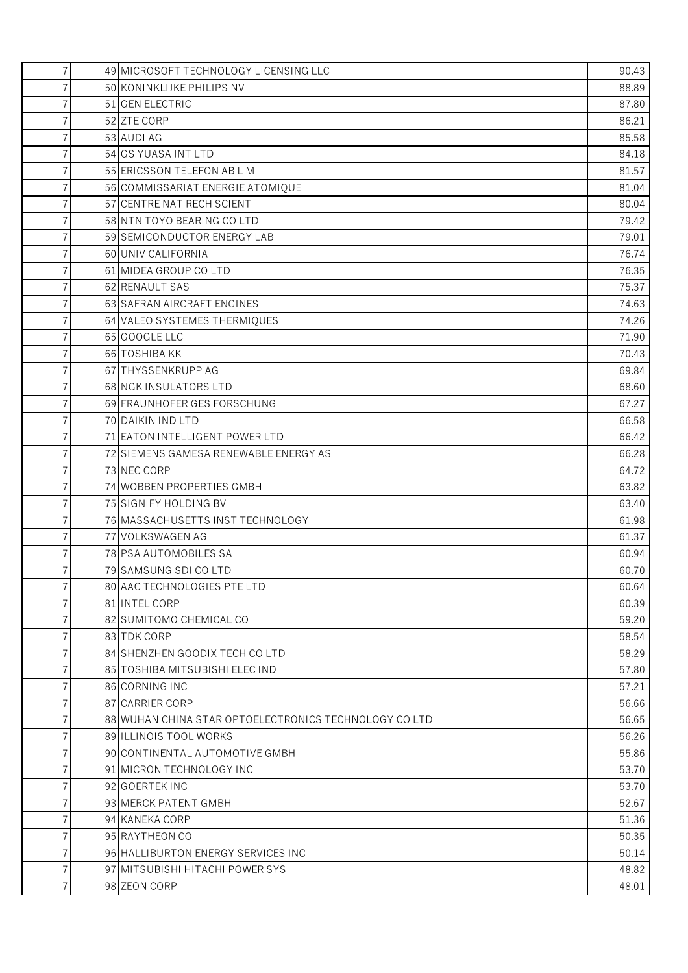| $\overline{7}$ | 49 MICROSOFT TECHNOLOGY LICENSING LLC                | 90.43 |
|----------------|------------------------------------------------------|-------|
|                | 50 KONINKLIJKE PHILIPS NV                            | 88.89 |
| 7              | 51 GEN ELECTRIC                                      | 87.80 |
|                | 52 ZTE CORP                                          | 86.21 |
|                | 53 AUDI AG                                           | 85.58 |
| 7              | 54 GS YUASA INT LTD                                  | 84.18 |
|                | 55 ERICSSON TELEFON AB L M                           | 81.57 |
| 7              | 56 COMMISSARIAT ENERGIE ATOMIQUE                     | 81.04 |
|                | 57 CENTRE NAT RECH SCIENT                            | 80.04 |
|                | 58 NTN TOYO BEARING CO LTD                           | 79.42 |
|                | 59 SEMICONDUCTOR ENERGY LAB                          | 79.01 |
|                | 60 UNIV CALIFORNIA                                   | 76.74 |
| 7              | 61 MIDEA GROUP CO LTD                                | 76.35 |
|                | 62 RENAULT SAS                                       | 75.37 |
|                | 63 SAFRAN AIRCRAFT ENGINES                           | 74.63 |
|                | 64 VALEO SYSTEMES THERMIQUES                         | 74.26 |
|                | 65 GOOGLE LLC                                        | 71.90 |
| 7              | 66 TOSHIBA KK                                        | 70.43 |
|                | 67 THYSSENKRUPP AG                                   | 69.84 |
|                | 68 NGK INSULATORS LTD                                | 68.60 |
|                | 69 FRAUNHOFER GES FORSCHUNG                          | 67.27 |
|                | 70 DAIKIN IND LTD                                    | 66.58 |
| 7              | 71 EATON INTELLIGENT POWER LTD                       | 66.42 |
|                | 72 SIEMENS GAMESA RENEWABLE ENERGY AS                | 66.28 |
|                | 73 NEC CORP                                          | 64.72 |
|                | 74 WOBBEN PROPERTIES GMBH                            | 63.82 |
|                | 75 SIGNIFY HOLDING BV                                | 63.40 |
| 7              | 76 MASSACHUSETTS INST TECHNOLOGY                     | 61.98 |
|                | 77 VOLKSWAGEN AG                                     | 61.37 |
|                | 78 PSA AUTOMOBILES SA                                | 60.94 |
|                | 79 SAMSUNG SDI COLTD                                 | 60.70 |
| 7              | 80 AAC TECHNOLOGIES PTE LTD                          | 60.64 |
| 7              | 81 INTEL CORP                                        | 60.39 |
|                | 82 SUMITOMO CHEMICAL CO                              | 59.20 |
| 7              | 83 TDK CORP                                          | 58.54 |
| 7              | 84 SHENZHEN GOODIX TECH CO LTD                       | 58.29 |
| 7              | 85 TOSHIBA MITSUBISHI ELEC IND                       | 57.80 |
| 7              | 86 CORNING INC                                       | 57.21 |
|                | 87 CARRIER CORP                                      | 56.66 |
| 7              | 88 WUHAN CHINA STAR OPTOELECTRONICS TECHNOLOGY COLTD | 56.65 |
| 7              | 89 ILLINOIS TOOL WORKS                               | 56.26 |
| 7              | 90 CONTINENTAL AUTOMOTIVE GMBH                       | 55.86 |
| 7              | 91 MICRON TECHNOLOGY INC                             | 53.70 |
|                | 92 GOERTEK INC                                       | 53.70 |
| 7              | 93 MERCK PATENT GMBH                                 | 52.67 |
| 7              | 94 KANEKA CORP                                       | 51.36 |
|                |                                                      |       |
| 7<br>7         | 95 RAYTHEON CO                                       | 50.35 |
|                | 96 HALLIBURTON ENERGY SERVICES INC                   | 50.14 |
| 7              | 97 MITSUBISHI HITACHI POWER SYS                      | 48.82 |
| $\overline{7}$ | 98 ZEON CORP                                         | 48.01 |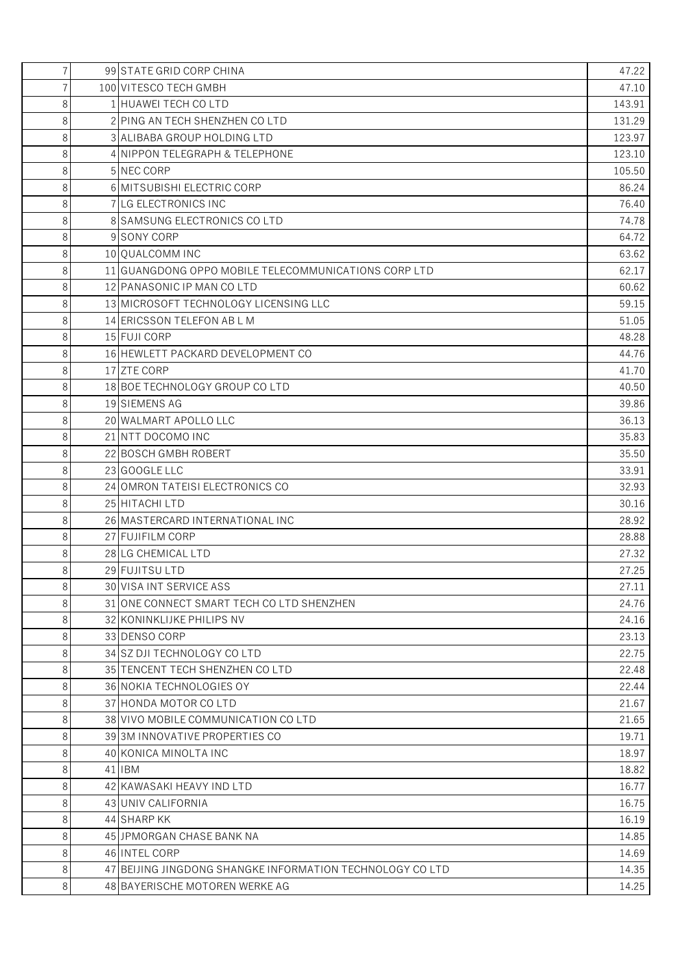| $\overline{7}$ | 99 STATE GRID CORP CHINA                                 | 47.22  |
|----------------|----------------------------------------------------------|--------|
| 7              | 100 VITESCO TECH GMBH                                    | 47.10  |
| 8              | 1 HUAWEI TECH CO LTD                                     | 143.91 |
| 8              | 2 PING AN TECH SHENZHEN CO LTD                           | 131.29 |
| 8              | 3 ALIBABA GROUP HOLDING LTD                              | 123.97 |
| 8              | 4 NIPPON TELEGRAPH & TELEPHONE                           | 123.10 |
| 8              | 5 NEC CORP                                               | 105.50 |
| 8              | 6 MITSUBISHI ELECTRIC CORP                               | 86.24  |
| 8              | 7 LG ELECTRONICS INC                                     | 76.40  |
| 8              | 8 SAMSUNG ELECTRONICS COLTD                              | 74.78  |
| 8              | 9 SONY CORP                                              | 64.72  |
| 8              | 10 QUALCOMM INC                                          | 63.62  |
| 8              | 11 GUANGDONG OPPO MOBILE TELECOMMUNICATIONS CORP LTD     | 62.17  |
| 8              | 12 PANASONIC IP MAN CO LTD                               | 60.62  |
| 8              | 13 MICROSOFT TECHNOLOGY LICENSING LLC                    | 59.15  |
| 8              | 14 ERICSSON TELEFON AB L M                               | 51.05  |
| 8              | 15 FUJI CORP                                             | 48.28  |
| 8              | 16 HEWLETT PACKARD DEVELOPMENT CO                        | 44.76  |
| 8              | 17 ZTE CORP                                              | 41.70  |
| 8              | 18 BOE TECHNOLOGY GROUP COLTD                            | 40.50  |
| 8              | 19 SIEMENS AG                                            | 39.86  |
| 8              | 20 WALMART APOLLO LLC                                    | 36.13  |
| 8              | 21 NTT DOCOMO INC                                        | 35.83  |
| 8              | 22 BOSCH GMBH ROBERT                                     | 35.50  |
| 8              | 23 GOOGLE LLC                                            | 33.91  |
| 8              | 24 OMRON TATEISI ELECTRONICS CO                          | 32.93  |
| 8              | 25 HITACHI LTD                                           | 30.16  |
| 8              | 26 MASTERCARD INTERNATIONAL INC                          | 28.92  |
| 8              | 27 FUJIFILM CORP                                         | 28.88  |
| 8              | 28 LG CHEMICAL LTD                                       | 27.32  |
| 8              | 29 FUJITSU LTD                                           | 27.25  |
| 8              | 30 VISA INT SERVICE ASS                                  | 27.11  |
| 8              | 31 ONE CONNECT SMART TECH CO LTD SHENZHEN                | 24.76  |
| 8              | 32 KONINKLIJKE PHILIPS NV                                | 24.16  |
| 8              | 33 DENSO CORP                                            | 23.13  |
| 8              | 34 SZ DJI TECHNOLOGY CO LTD                              | 22.75  |
| 8              | 35 TENCENT TECH SHENZHEN CO LTD                          | 22.48  |
| 8              | 36 NOKIA TECHNOLOGIES OY                                 | 22.44  |
| 8              | 37 HONDA MOTOR CO LTD                                    | 21.67  |
| 8              | 38 VIVO MOBILE COMMUNICATION CO LTD                      | 21.65  |
| 8              | 39 3M INNOVATIVE PROPERTIES CO                           | 19.71  |
| 8              | 40 KONICA MINOLTA INC                                    | 18.97  |
| 8              | 41 IBM                                                   | 18.82  |
| 8              | 42 KAWASAKI HEAVY IND LTD                                | 16.77  |
| 8              | 43 UNIV CALIFORNIA                                       | 16.75  |
| 8              | 44 SHARP KK                                              | 16.19  |
| 8              | 45 JPMORGAN CHASE BANK NA                                | 14.85  |
| 8              | 46 INTEL CORP                                            | 14.69  |
| 8              | 47 BEIJING JINGDONG SHANGKE INFORMATION TECHNOLOGY COLTD | 14.35  |
| 8              | 48 BAYERISCHE MOTOREN WERKE AG                           | 14.25  |
|                |                                                          |        |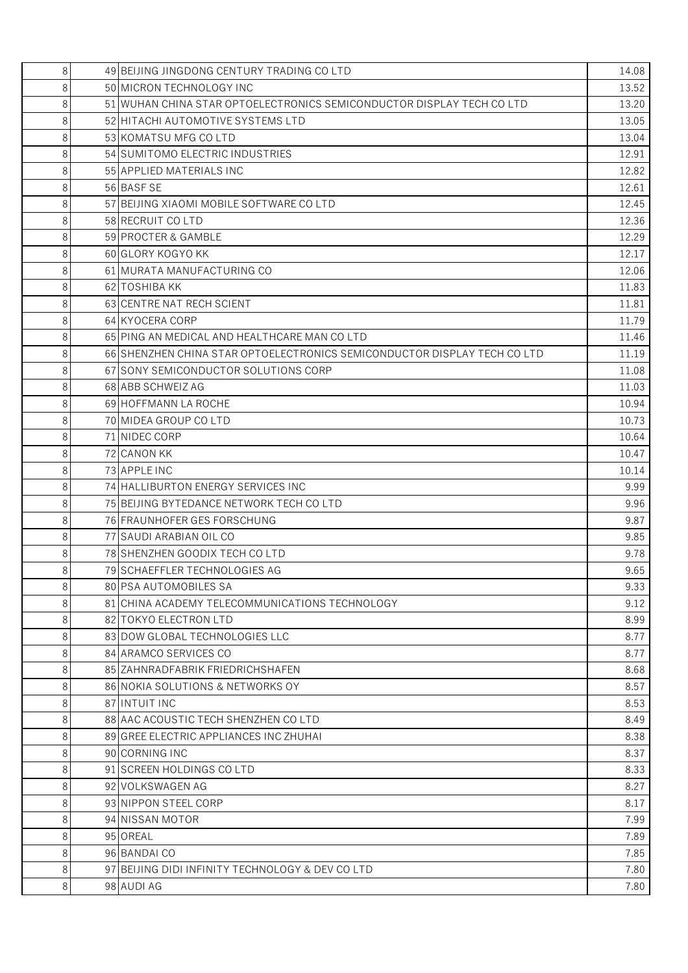| 8              | 49 BEIJING JINGDONG CENTURY TRADING CO LTD                               | 14.08 |
|----------------|--------------------------------------------------------------------------|-------|
| 8              | 50 MICRON TECHNOLOGY INC                                                 | 13.52 |
| 8              | 51 WUHAN CHINA STAR OPTOELECTRONICS SEMICONDUCTOR DISPLAY TECH CO LTD    | 13.20 |
| 8              | 52 HITACHI AUTOMOTIVE SYSTEMS LTD                                        | 13.05 |
| 8              | 53 KOMATSU MFG CO LTD                                                    | 13.04 |
| 8              | 54 SUMITOMO ELECTRIC INDUSTRIES                                          | 12.91 |
| 8              | 55 APPLIED MATERIALS INC                                                 | 12.82 |
| 8              | 56 BASF SE                                                               | 12.61 |
| 8              | 57 BEIJING XIAOMI MOBILE SOFTWARE COLTD                                  | 12.45 |
| 8              | 58 RECRUIT CO LTD                                                        | 12.36 |
| 8              | 59 PROCTER & GAMBLE                                                      | 12.29 |
| 8              | 60 GLORY KOGYO KK                                                        | 12.17 |
| 8              | 61 MURATA MANUFACTURING CO                                               | 12.06 |
| 8              | 62 TOSHIBA KK                                                            | 11.83 |
| 8              | 63 CENTRE NAT RECH SCIENT                                                | 11.81 |
| 8              | 64 KYOCERA CORP                                                          | 11.79 |
| 8              | 65 PING AN MEDICAL AND HEALTHCARE MAN COLTD                              | 11.46 |
| 8              | 66 SHENZHEN CHINA STAR OPTOELECTRONICS SEMICONDUCTOR DISPLAY TECH CO LTD | 11.19 |
| 8              | 67 SONY SEMICONDUCTOR SOLUTIONS CORP                                     | 11.08 |
| 8              | 68 ABB SCHWEIZ AG                                                        | 11.03 |
| 8              | 69 HOFFMANN LA ROCHE                                                     | 10.94 |
| 8              | 70 MIDEA GROUP CO LTD                                                    | 10.73 |
| 8              | 71 NIDEC CORP                                                            | 10.64 |
| 8              | 72 CANON KK                                                              | 10.47 |
| 8              | 73 APPLE INC                                                             | 10.14 |
| 8              | 74 HALLIBURTON ENERGY SERVICES INC                                       | 9.99  |
| 8              | 75 BEIJING BYTEDANCE NETWORK TECH COLTD                                  | 9.96  |
| 8              | 76 FRAUNHOFER GES FORSCHUNG                                              | 9.87  |
| 8              | 77 SAUDI ARABIAN OIL CO                                                  | 9.85  |
| 8              | 78 SHENZHEN GOODIX TECH COLTD                                            | 9.78  |
| 8              | 79 SCHAEFFLER TECHNOLOGIES AG                                            | 9.65  |
| 8              | 80 PSA AUTOMOBILES SA                                                    | 9.33  |
| 8              | 81 CHINA ACADEMY TELECOMMUNICATIONS TECHNOLOGY                           | 9.12  |
| 8              | 82 TOKYO ELECTRON LTD                                                    | 8.99  |
| 8              | 83 DOW GLOBAL TECHNOLOGIES LLC                                           | 8.77  |
| 8              | 84 ARAMCO SERVICES CO                                                    | 8.77  |
| 8              | 85 ZAHNRADFABRIK FRIEDRICHSHAFEN                                         | 8.68  |
| 8              | 86 NOKIA SOLUTIONS & NETWORKS OY                                         | 8.57  |
| 8              | 87 INTUIT INC                                                            | 8.53  |
| 8              | 88 AAC ACOUSTIC TECH SHENZHEN COLTD                                      | 8.49  |
| 8              | 89 GREE ELECTRIC APPLIANCES INC ZHUHAI                                   | 8.38  |
| 8              | 90 CORNING INC                                                           | 8.37  |
| 8              | 91 SCREEN HOLDINGS COLTD                                                 | 8.33  |
| 8              | 92 VOLKSWAGEN AG                                                         | 8.27  |
| 8              | 93 NIPPON STEEL CORP                                                     | 8.17  |
| 8              | 94 NISSAN MOTOR                                                          | 7.99  |
| 8              | 95 OREAL                                                                 | 7.89  |
| 8              | 96 BANDAI CO                                                             | 7.85  |
| 8              | 97 BEIJING DIDI INFINITY TECHNOLOGY & DEV COLTD                          | 7.80  |
| 8 <sup>1</sup> | 98 AUDI AG                                                               | 7.80  |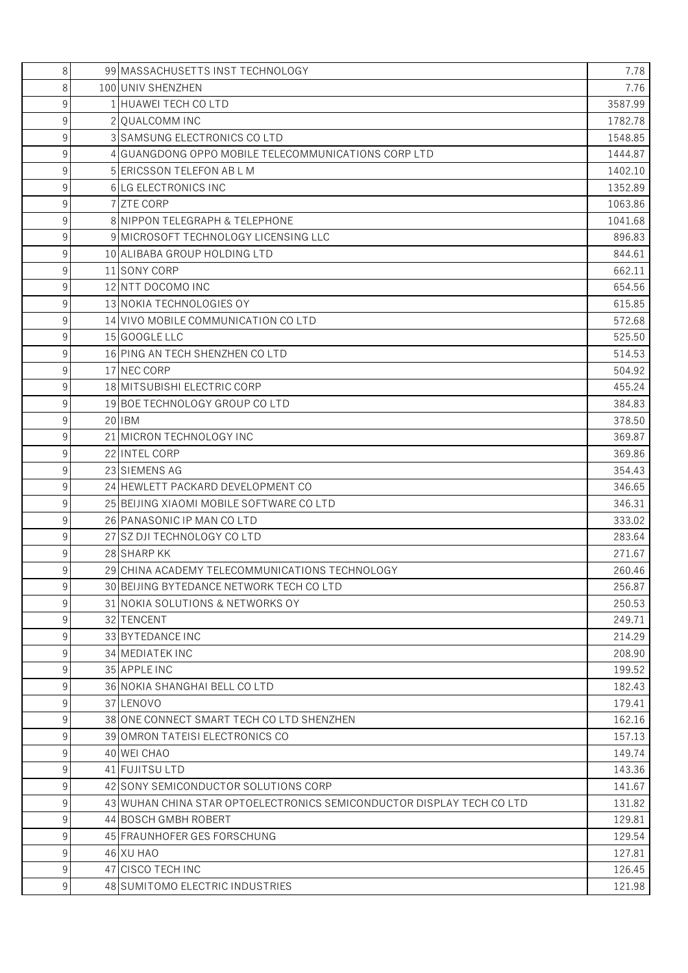| 8 | 99 MASSACHUSETTS INST TECHNOLOGY                                     | 7.78    |
|---|----------------------------------------------------------------------|---------|
| 8 | 100 UNIV SHENZHEN                                                    | 7.76    |
| 9 | 1 HUAWEI TECH CO LTD                                                 | 3587.99 |
| 9 | 2 OUALCOMM INC                                                       | 1782.78 |
| 9 | 3 SAMSUNG ELECTRONICS COLTD                                          | 1548.85 |
| 9 | 4 GUANGDONG OPPO MOBILE TELECOMMUNICATIONS CORP LTD                  | 1444.87 |
| 9 | 5 ERICSSON TELEFON AB L M                                            | 1402.10 |
| 9 | 6 LG ELECTRONICS INC                                                 | 1352.89 |
| 9 | 7 ZTE CORP                                                           | 1063.86 |
| 9 | 8 NIPPON TELEGRAPH & TELEPHONE                                       | 1041.68 |
| 9 | 9 MICROSOFT TECHNOLOGY LICENSING LLC                                 | 896.83  |
| 9 | 10 ALIBABA GROUP HOLDING LTD                                         | 844.61  |
| 9 | 11 SONY CORP                                                         | 662.11  |
| 9 | 12 NTT DOCOMO INC                                                    | 654.56  |
| 9 | 13 NOKIA TECHNOLOGIES OY                                             | 615.85  |
| 9 | 14 VIVO MOBILE COMMUNICATION CO LTD                                  | 572.68  |
| 9 | 15 GOOGLE LLC                                                        | 525.50  |
| 9 | 16 PING AN TECH SHENZHEN CO LTD                                      | 514.53  |
| 9 | 17 NEC CORP                                                          | 504.92  |
| 9 | 18 MITSUBISHI ELECTRIC CORP                                          | 455.24  |
| 9 | 19 BOE TECHNOLOGY GROUP COLTD                                        | 384.83  |
| 9 | 20 IBM                                                               | 378.50  |
| 9 | 21 MICRON TECHNOLOGY INC                                             | 369.87  |
| 9 | 22 INTEL CORP                                                        | 369.86  |
| 9 | 23 SIEMENS AG                                                        | 354.43  |
| 9 | 24 HEWLETT PACKARD DEVELOPMENT CO                                    | 346.65  |
| 9 | 25 BEIJING XIAOMI MOBILE SOFTWARE COLTD                              | 346.31  |
| 9 | 26 PANASONIC IP MAN CO LTD                                           | 333.02  |
| 9 | 27 SZ DJI TECHNOLOGY CO LTD                                          | 283.64  |
| 9 | 28 SHARP KK                                                          | 271.67  |
| 9 | 29 CHINA ACADEMY TELECOMMUNICATIONS TECHNOLOGY                       | 260.46  |
| 9 | 30 BEIJING BYTEDANCE NETWORK TECH COLTD                              | 256.87  |
| 9 | 31 NOKIA SOLUTIONS & NETWORKS OY                                     | 250.53  |
| 9 | 32 TENCENT                                                           | 249.71  |
| 9 | 33 BYTEDANCE INC                                                     | 214.29  |
| 9 | 34 MEDIATEK INC                                                      | 208.90  |
| 9 | 35 APPLE INC                                                         | 199.52  |
| 9 | 36 NOKIA SHANGHAI BELL CO LTD                                        | 182.43  |
| 9 | 37 LENOVO                                                            | 179.41  |
| 9 | 38 ONE CONNECT SMART TECH CO LTD SHENZHEN                            | 162.16  |
| 9 | 39 OMRON TATEISI ELECTRONICS CO                                      | 157.13  |
| 9 | 40 WEI CHAO                                                          | 149.74  |
| 9 | 41 FUJITSU LTD                                                       | 143.36  |
| 9 | 42 SONY SEMICONDUCTOR SOLUTIONS CORP                                 | 141.67  |
| 9 | 43 WUHAN CHINA STAR OPTOELECTRONICS SEMICONDUCTOR DISPLAY TECH COLTD | 131.82  |
| 9 | 44 BOSCH GMBH ROBERT                                                 | 129.81  |
| 9 | 45 FRAUNHOFER GES FORSCHUNG                                          | 129.54  |
| 9 | 46 XU HAO                                                            | 127.81  |
| 9 | 47 CISCO TECH INC                                                    | 126.45  |
| 9 | 48 SUMITOMO ELECTRIC INDUSTRIES                                      | 121.98  |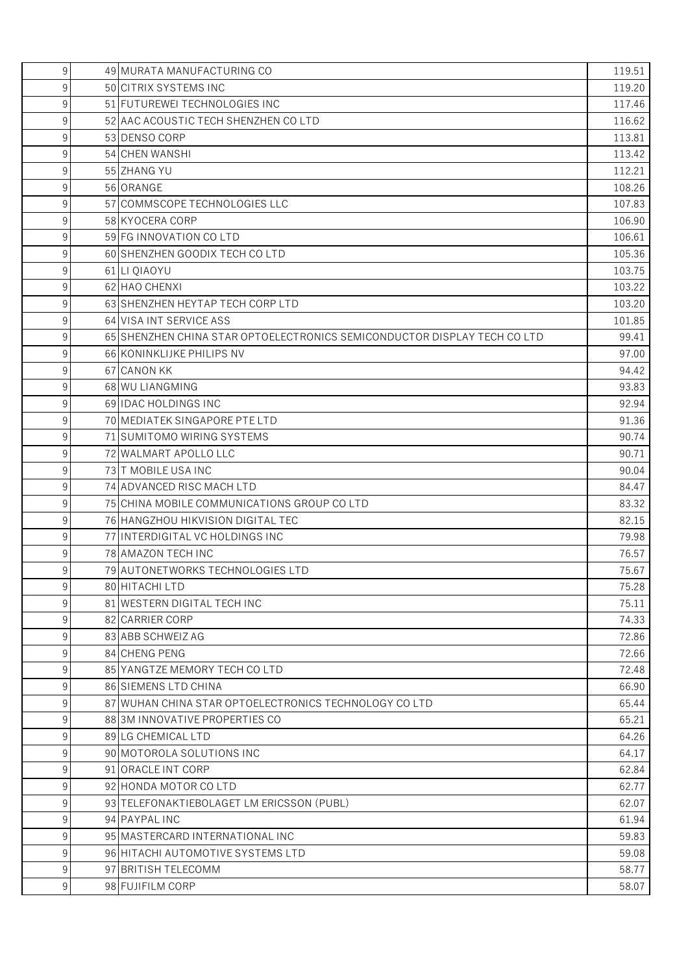| 9<br>49 MURATA MANUFACTURING CO                                               | 119.51 |
|-------------------------------------------------------------------------------|--------|
| 50 CITRIX SYSTEMS INC<br>9                                                    | 119.20 |
| 9<br>51 FUTUREWEI TECHNOLOGIES INC                                            | 117.46 |
| 9<br>52 AAC ACOUSTIC TECH SHENZHEN CO LTD                                     | 116.62 |
| 9<br>53 DENSO CORP                                                            | 113.81 |
| 9<br>54 CHEN WANSHI                                                           | 113.42 |
| 55 ZHANG YU<br>9                                                              | 112.21 |
| 56 ORANGE<br>9                                                                | 108.26 |
| 9<br>57 COMMSCOPE TECHNOLOGIES LLC                                            | 107.83 |
| 9<br>58 KYOCERA CORP                                                          | 106.90 |
| 9<br>59 FG INNOVATION CO LTD                                                  | 106.61 |
| 60 SHENZHEN GOODIX TECH CO LTD<br>9                                           | 105.36 |
| 9<br>61 LI QIAOYU                                                             | 103.75 |
| 9<br>62 HAO CHENXI                                                            | 103.22 |
| 9<br>63 SHENZHEN HEYTAP TECH CORP LTD                                         | 103.20 |
| 9<br>64 VISA INT SERVICE ASS                                                  | 101.85 |
| 65 SHENZHEN CHINA STAR OPTOELECTRONICS SEMICONDUCTOR DISPLAY TECH CO LTD<br>9 | 99.41  |
| 9<br>66 KONINKLIJKE PHILIPS NV                                                | 97.00  |
| 9<br>67 CANON KK                                                              | 94.42  |
| 9<br>68 WU LIANGMING                                                          | 93.83  |
| 9<br>69 IDAC HOLDINGS INC                                                     | 92.94  |
| 70 MEDIATEK SINGAPORE PTE LTD<br>9                                            | 91.36  |
| 9<br>71 SUMITOMO WIRING SYSTEMS                                               | 90.74  |
| 9<br>72 WALMART APOLLO LLC                                                    | 90.71  |
| 9<br>73 T MOBILE USA INC                                                      | 90.04  |
| 9<br>74 ADVANCED RISC MACH LTD                                                | 84.47  |
| 75 CHINA MOBILE COMMUNICATIONS GROUP COLTD<br>9                               | 83.32  |
| 9<br>76 HANGZHOU HIKVISION DIGITAL TEC                                        | 82.15  |
| 9<br>77 INTERDIGITAL VC HOLDINGS INC                                          | 79.98  |
| 78 AMAZON TECH INC<br>9                                                       | 76.57  |
| 9<br>79 AUTONETWORKS TECHNOLOGIES LTD                                         | 75.67  |
| 9<br>80 HITACHI LTD                                                           | 75.28  |
| 9<br>81 WESTERN DIGITAL TECH INC                                              | 75.11  |
| 9<br>82 CARRIER CORP                                                          | 74.33  |
| 9<br>83 ABB SCHWEIZ AG                                                        | 72.86  |
| 9<br>84 CHENG PENG                                                            | 72.66  |
| 9<br>85 YANGTZE MEMORY TECH CO LTD                                            | 72.48  |
| 9<br>86 SIEMENS LTD CHINA                                                     | 66.90  |
| 9<br>87 WUHAN CHINA STAR OPTOELECTRONICS TECHNOLOGY COLTD                     | 65.44  |
| 9<br>88 3M INNOVATIVE PROPERTIES CO                                           | 65.21  |
| 9<br>89 LG CHEMICAL LTD                                                       | 64.26  |
| 9<br>90 MOTOROLA SOLUTIONS INC                                                | 64.17  |
| 9<br>91 ORACLE INT CORP                                                       | 62.84  |
| 9<br>92 HONDA MOTOR COLTD                                                     | 62.77  |
| 9<br>93 TELEFONAKTIEBOLAGET LM ERICSSON (PUBL)                                | 62.07  |
| 9<br>94 PAYPAL INC                                                            | 61.94  |
| 9<br>95 MASTERCARD INTERNATIONAL INC                                          | 59.83  |
| 9<br>96 HITACHI AUTOMOTIVE SYSTEMS LTD                                        | 59.08  |
| 9<br>97 BRITISH TELECOMM                                                      | 58.77  |
| 9<br>98 FUJIFILM CORP                                                         | 58.07  |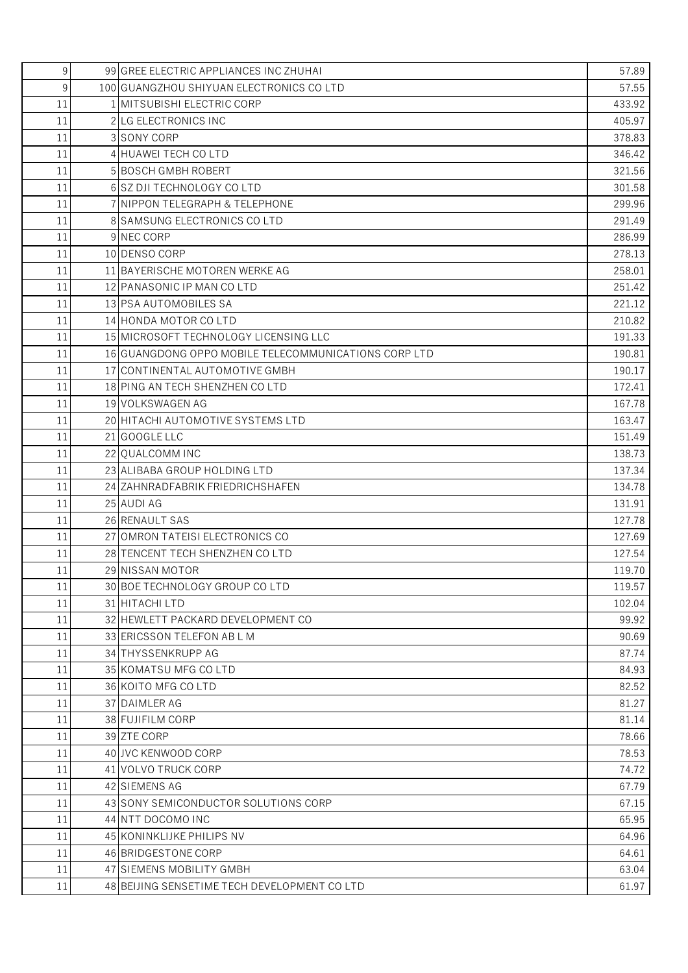| 9  | 99 GREE ELECTRIC APPLIANCES INC ZHUHAI               | 57.89  |
|----|------------------------------------------------------|--------|
| 9  | 100 GUANGZHOU SHIYUAN ELECTRONICS CO LTD             | 57.55  |
| 11 | 1 MITSUBISHI ELECTRIC CORP                           | 433.92 |
| 11 | 2 LG ELECTRONICS INC                                 | 405.97 |
| 11 | 3 SONY CORP                                          | 378.83 |
| 11 | 4 HUAWEI TECH CO LTD                                 | 346.42 |
| 11 | 5 BOSCH GMBH ROBERT                                  | 321.56 |
| 11 | 6 SZ DJI TECHNOLOGY CO LTD                           | 301.58 |
| 11 | 7 NIPPON TELEGRAPH & TELEPHONE                       | 299.96 |
| 11 | 8 SAMSUNG ELECTRONICS COLTD                          | 291.49 |
| 11 | 9 NEC CORP                                           | 286.99 |
| 11 | 10 DENSO CORP                                        | 278.13 |
| 11 | 11 BAYERISCHE MOTOREN WERKE AG                       | 258.01 |
| 11 | 12 PANASONIC IP MAN CO LTD                           | 251.42 |
| 11 | 13 PSA AUTOMOBILES SA                                | 221.12 |
| 11 | 14 HONDA MOTOR CO LTD                                | 210.82 |
| 11 | 15 MICROSOFT TECHNOLOGY LICENSING LLC                | 191.33 |
| 11 | 16 GUANGDONG OPPO MOBILE TELECOMMUNICATIONS CORP LTD | 190.81 |
| 11 | 17 CONTINENTAL AUTOMOTIVE GMBH                       | 190.17 |
| 11 | 18 PING AN TECH SHENZHEN CO LTD                      | 172.41 |
| 11 | 19 VOLKSWAGEN AG                                     | 167.78 |
| 11 | 20 HITACHI AUTOMOTIVE SYSTEMS LTD                    | 163.47 |
| 11 | 21 GOOGLE LLC                                        | 151.49 |
| 11 | 22 OUALCOMM INC                                      | 138.73 |
| 11 | 23 ALIBABA GROUP HOLDING LTD                         | 137.34 |
| 11 | 24 ZAHNRADFABRIK FRIEDRICHSHAFEN                     | 134.78 |
| 11 | 25 AUDI AG                                           | 131.91 |
| 11 | 26 RENAULT SAS                                       | 127.78 |
| 11 | 27 OMRON TATEISI ELECTRONICS CO                      | 127.69 |
| 11 | 28 TENCENT TECH SHENZHEN CO LTD                      | 127.54 |
| 11 | 29 NISSAN MOTOR                                      | 119.70 |
| 11 | 30 BOE TECHNOLOGY GROUP COLTD                        | 119.57 |
| 11 | 31 HITACHI LTD                                       | 102.04 |
| 11 | 32 HEWLETT PACKARD DEVELOPMENT CO                    | 99.92  |
| 11 | 33 ERICSSON TELEFON AB L M                           | 90.69  |
| 11 | 34 THYSSENKRUPP AG                                   | 87.74  |
| 11 | 35 KOMATSU MFG CO LTD                                | 84.93  |
| 11 | 36 KOITO MFG COLTD                                   | 82.52  |
| 11 | 37 DAIMLER AG                                        | 81.27  |
| 11 | 38 FUJIFILM CORP                                     | 81.14  |
| 11 | 39 ZTE CORP                                          | 78.66  |
| 11 | 40 JVC KENWOOD CORP                                  | 78.53  |
| 11 | 41 VOLVO TRUCK CORP                                  | 74.72  |
| 11 | 42 SIEMENS AG                                        | 67.79  |
| 11 | 43 SONY SEMICONDUCTOR SOLUTIONS CORP                 | 67.15  |
| 11 | 44 NTT DOCOMO INC                                    | 65.95  |
| 11 | 45 KONINKLIJKE PHILIPS NV                            | 64.96  |
| 11 | 46 BRIDGESTONE CORP                                  | 64.61  |
| 11 | 47 SIEMENS MOBILITY GMBH                             | 63.04  |
| 11 | 48 BEIJING SENSETIME TECH DEVELOPMENT COLTD          | 61.97  |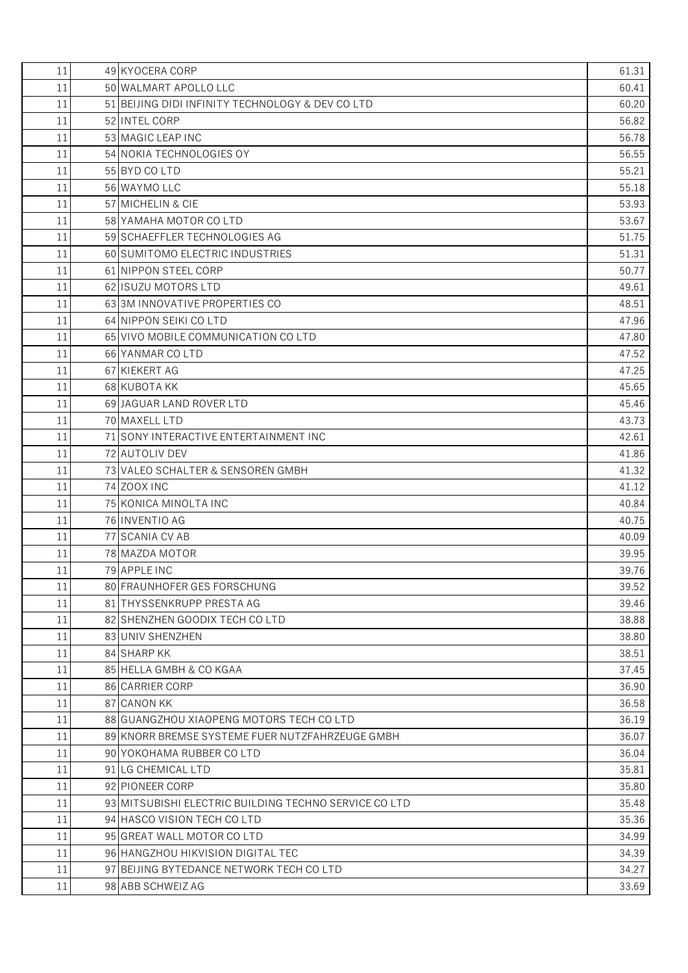| 11 | 49 KYOCERA CORP                                      | 61.31 |
|----|------------------------------------------------------|-------|
| 11 | 50 WALMART APOLLO LLC                                | 60.41 |
| 11 | 51 BEIJING DIDI INFINITY TECHNOLOGY & DEV COLTD      | 60.20 |
| 11 | 52 INTEL CORP                                        | 56.82 |
| 11 | 53 MAGIC LEAP INC                                    | 56.78 |
| 11 | 54 NOKIA TECHNOLOGIES OY                             | 56.55 |
| 11 | 55 BYD CO LTD                                        | 55.21 |
| 11 | 56 WAYMO LLC                                         | 55.18 |
| 11 | 57 MICHELIN & CIE                                    | 53.93 |
| 11 | 58 YAMAHA MOTOR CO LTD                               | 53.67 |
| 11 | 59 SCHAEFFLER TECHNOLOGIES AG                        | 51.75 |
| 11 | 60 SUMITOMO ELECTRIC INDUSTRIES                      | 51.31 |
| 11 | 61 NIPPON STEEL CORP                                 | 50.77 |
| 11 | 62 ISUZU MOTORS LTD                                  | 49.61 |
| 11 | 63 3M INNOVATIVE PROPERTIES CO                       | 48.51 |
| 11 | 64 NIPPON SEIKI CO LTD                               | 47.96 |
| 11 | 65 VIVO MOBILE COMMUNICATION CO LTD                  | 47.80 |
| 11 | 66 YANMAR CO LTD                                     | 47.52 |
| 11 | 67 KIEKERT AG                                        | 47.25 |
| 11 | 68 KUBOTA KK                                         | 45.65 |
| 11 | 69 JAGUAR LAND ROVER LTD                             | 45.46 |
| 11 | 70 MAXELL LTD                                        | 43.73 |
| 11 | 71 SONY INTERACTIVE ENTERTAINMENT INC                | 42.61 |
| 11 | 72 AUTOLIV DEV                                       | 41.86 |
| 11 | 73 VALEO SCHALTER & SENSOREN GMBH                    | 41.32 |
| 11 | 74 ZOOX INC                                          | 41.12 |
| 11 | 75 KONICA MINOLTA INC                                | 40.84 |
| 11 | 76 INVENTIO AG                                       | 40.75 |
| 11 | 77 SCANIA CV AB                                      | 40.09 |
| 11 | 78 MAZDA MOTOR                                       | 39.95 |
| 11 | 79 APPLE INC                                         | 39.76 |
| 11 | 80 FRAUNHOFER GES FORSCHUNG                          | 39.52 |
| 11 | 81 THYSSENKRUPP PRESTA AG                            | 39.46 |
| 11 | 82 SHENZHEN GOODIX TECH COLTD                        | 38.88 |
| 11 | 83 UNIV SHENZHEN                                     | 38.80 |
| 11 | 84 SHARP KK                                          | 38.51 |
| 11 | 85 HELLA GMBH & CO KGAA                              | 37.45 |
| 11 | 86 CARRIER CORP                                      | 36.90 |
| 11 | 87 CANON KK                                          | 36.58 |
| 11 | 88 GUANGZHOU XIAOPENG MOTORS TECH CO LTD             | 36.19 |
| 11 | 89 KNORR BREMSE SYSTEME FUER NUTZFAHRZEUGE GMBH      | 36.07 |
| 11 | 90 YOKOHAMA RUBBER CO LTD                            | 36.04 |
| 11 | 91 LG CHEMICAL LTD                                   | 35.81 |
| 11 | 92 PIONEER CORP                                      | 35.80 |
| 11 | 93 MITSUBISHI ELECTRIC BUILDING TECHNO SERVICE COLTD | 35.48 |
| 11 | 94 HASCO VISION TECH COLTD                           | 35.36 |
| 11 | 95 GREAT WALL MOTOR CO LTD                           | 34.99 |
| 11 | 96 HANGZHOU HIKVISION DIGITAL TEC                    | 34.39 |
| 11 | 97 BEIJING BYTEDANCE NETWORK TECH COLTD              | 34.27 |
| 11 | 98 ABB SCHWEIZ AG                                    | 33.69 |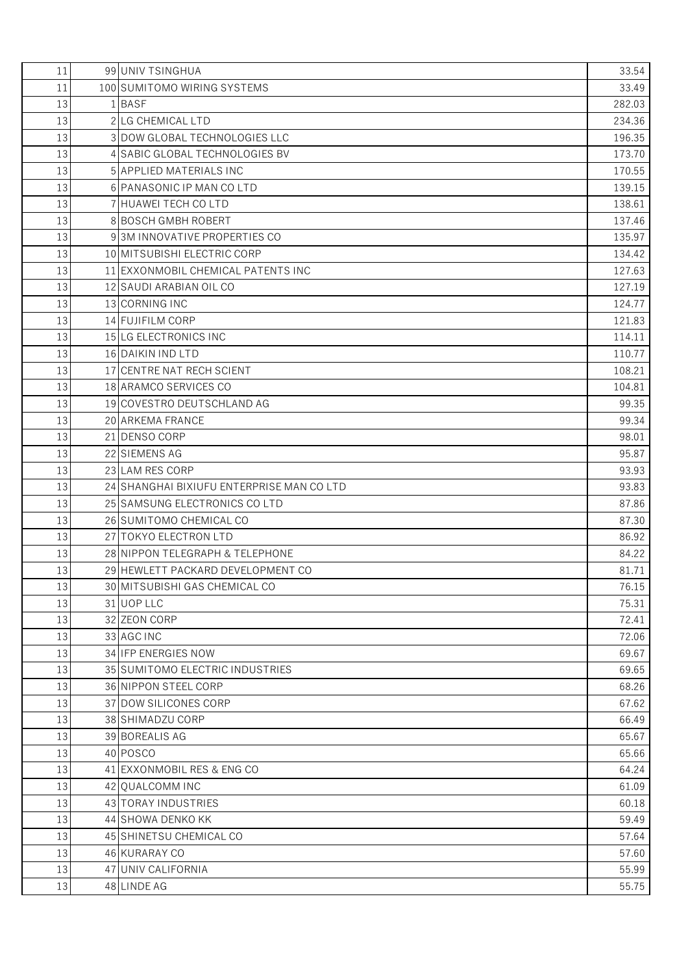| 11 | 99 UNIV TSINGHUA                         | 33.54  |
|----|------------------------------------------|--------|
| 11 | 100 SUMITOMO WIRING SYSTEMS              | 33.49  |
| 13 | 1 BASF                                   | 282.03 |
| 13 | 2 LG CHEMICAL LTD                        | 234.36 |
| 13 | 3 DOW GLOBAL TECHNOLOGIES LLC            | 196.35 |
| 13 | 4 SABIC GLOBAL TECHNOLOGIES BV           | 173.70 |
| 13 | 5 APPLIED MATERIALS INC                  | 170.55 |
| 13 | 6 PANASONIC IP MAN CO LTD                | 139.15 |
| 13 | 7 HUAWEI TECH CO LTD                     | 138.61 |
| 13 | 8 BOSCH GMBH ROBERT                      | 137.46 |
| 13 | 93M INNOVATIVE PROPERTIES CO             | 135.97 |
| 13 | 10 MITSUBISHI ELECTRIC CORP              | 134.42 |
| 13 | 11 EXXONMOBIL CHEMICAL PATENTS INC       | 127.63 |
| 13 | 12 SAUDI ARABIAN OIL CO                  | 127.19 |
| 13 | 13 CORNING INC                           | 124.77 |
| 13 | 14 FUJIFILM CORP                         | 121.83 |
| 13 | 15 LG ELECTRONICS INC                    | 114.11 |
| 13 | 16 DAIKIN IND LTD                        | 110.77 |
| 13 | 17 CENTRE NAT RECH SCIENT                | 108.21 |
| 13 | 18 ARAMCO SERVICES CO                    | 104.81 |
| 13 | 19 COVESTRO DEUTSCHLAND AG               | 99.35  |
| 13 | 20 ARKEMA FRANCE                         | 99.34  |
| 13 | 21 DENSO CORP                            | 98.01  |
| 13 | 22 SIEMENS AG                            | 95.87  |
| 13 | 23 LAM RES CORP                          | 93.93  |
| 13 | 24 SHANGHAI BIXIUFU ENTERPRISE MAN COLTD | 93.83  |
| 13 | 25 SAMSUNG ELECTRONICS COLTD             | 87.86  |
| 13 | 26 SUMITOMO CHEMICAL CO                  | 87.30  |
| 13 | 27 TOKYO ELECTRON LTD                    | 86.92  |
| 13 | 28 NIPPON TELEGRAPH & TELEPHONE          | 84.22  |
| 13 | 29 HEWLETT PACKARD DEVELOPMENT CO        | 81.71  |
| 13 | 30 MITSUBISHI GAS CHEMICAL CO            | 76.15  |
| 13 | 31 UOP LLC                               | 75.31  |
| 13 | 32 ZEON CORP                             | 72.41  |
| 13 | 33 AGC INC                               | 72.06  |
| 13 | 34 IFP ENERGIES NOW                      | 69.67  |
| 13 | 35 SUMITOMO ELECTRIC INDUSTRIES          | 69.65  |
| 13 | 36 NIPPON STEEL CORP                     | 68.26  |
| 13 | 37 DOW SILICONES CORP                    | 67.62  |
| 13 | 38 SHIMADZU CORP                         | 66.49  |
| 13 | 39 BOREALIS AG                           | 65.67  |
| 13 | 40 POSCO                                 | 65.66  |
| 13 | 41 EXXONMOBIL RES & ENG CO               | 64.24  |
| 13 | 42 QUALCOMM INC                          | 61.09  |
| 13 | 43 TORAY INDUSTRIES                      | 60.18  |
| 13 | 44 SHOWA DENKO KK                        | 59.49  |
| 13 | 45 SHINETSU CHEMICAL CO                  | 57.64  |
| 13 | 46 KURARAY CO                            | 57.60  |
| 13 | 47 UNIV CALIFORNIA                       | 55.99  |
| 13 | 48 LINDE AG                              | 55.75  |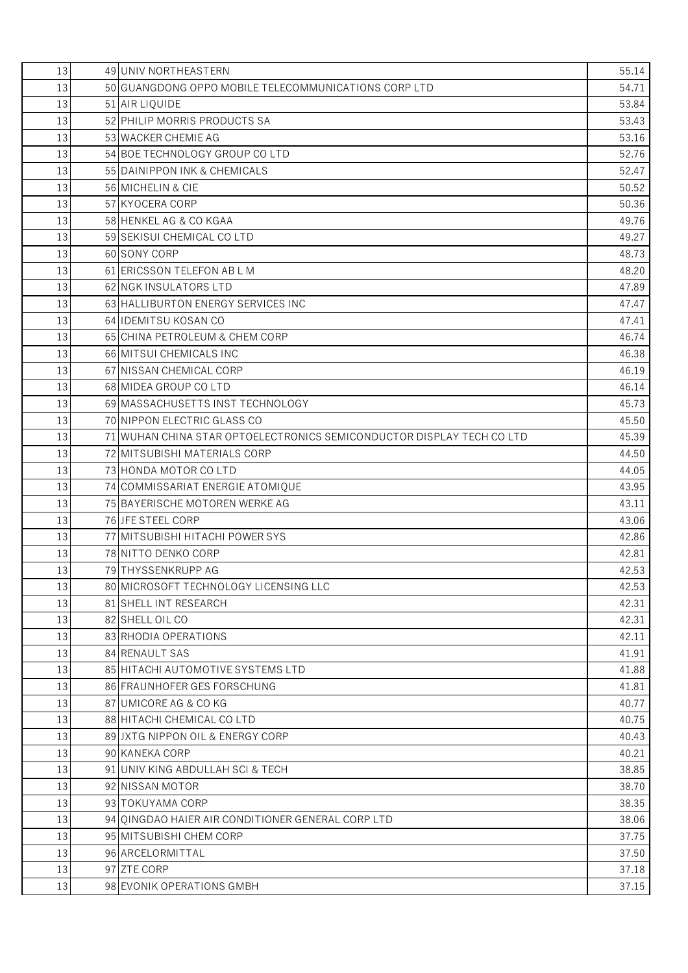| 13 | 49 UNIV NORTHEASTERN                                                  | 55.14 |
|----|-----------------------------------------------------------------------|-------|
| 13 | 50 GUANGDONG OPPO MOBILE TELECOMMUNICATIONS CORP LTD                  | 54.71 |
| 13 | 51 AIR LIQUIDE                                                        | 53.84 |
| 13 | 52 PHILIP MORRIS PRODUCTS SA                                          | 53.43 |
| 13 | 53 WACKER CHEMIE AG                                                   | 53.16 |
| 13 | 54 BOE TECHNOLOGY GROUP COLTD                                         | 52.76 |
| 13 | 55 DAINIPPON INK & CHEMICALS                                          | 52.47 |
| 13 | 56 MICHELIN & CIE                                                     | 50.52 |
| 13 | 57 KYOCERA CORP                                                       | 50.36 |
| 13 | 58 HENKEL AG & CO KGAA                                                | 49.76 |
| 13 | 59 SEKISUI CHEMICAL CO LTD                                            | 49.27 |
| 13 | 60 SONY CORP                                                          | 48.73 |
| 13 | 61 ERICSSON TELEFON AB L M                                            | 48.20 |
| 13 | 62 NGK INSULATORS LTD                                                 | 47.89 |
| 13 | 63 HALLIBURTON ENERGY SERVICES INC                                    | 47.47 |
| 13 | 64 IDEMITSU KOSAN CO                                                  | 47.41 |
| 13 | 65 CHINA PETROLEUM & CHEM CORP                                        | 46.74 |
| 13 | 66 MITSUI CHEMICALS INC                                               | 46.38 |
| 13 | 67 NISSAN CHEMICAL CORP                                               | 46.19 |
| 13 | 68 MIDEA GROUP CO LTD                                                 | 46.14 |
| 13 | 69 MASSACHUSETTS INST TECHNOLOGY                                      | 45.73 |
| 13 | 70 NIPPON ELECTRIC GLASS CO                                           | 45.50 |
| 13 | 71 WUHAN CHINA STAR OPTOELECTRONICS SEMICONDUCTOR DISPLAY TECH CO LTD | 45.39 |
| 13 | 72 MITSUBISHI MATERIALS CORP                                          | 44.50 |
| 13 | 73 HONDA MOTOR CO LTD                                                 | 44.05 |
| 13 | 74 COMMISSARIAT ENERGIE ATOMIQUE                                      | 43.95 |
| 13 | 75 BAYERISCHE MOTOREN WERKE AG                                        | 43.11 |
| 13 | 76 JFE STEEL CORP                                                     | 43.06 |
| 13 | 77 MITSUBISHI HITACHI POWER SYS                                       | 42.86 |
| 13 | 78 NITTO DENKO CORP                                                   | 42.81 |
| 13 | 79 THYSSENKRUPP AG                                                    | 42.53 |
| 13 | 80 MICROSOFT TECHNOLOGY LICENSING LLC                                 | 42.53 |
| 13 | 81 SHELL INT RESEARCH                                                 | 42.31 |
| 13 | 82 SHELL OIL CO                                                       | 42.31 |
| 13 | 83 RHODIA OPERATIONS                                                  | 42.11 |
| 13 | 84 RENAULT SAS                                                        | 41.91 |
| 13 | 85 HITACHI AUTOMOTIVE SYSTEMS LTD                                     | 41.88 |
| 13 | 86 FRAUNHOFER GES FORSCHUNG                                           | 41.81 |
| 13 | 87 UMICORE AG & CO KG                                                 | 40.77 |
| 13 | 88 HITACHI CHEMICAL CO LTD                                            | 40.75 |
| 13 | 89 JXTG NIPPON OIL & ENERGY CORP                                      | 40.43 |
| 13 | 90 KANEKA CORP                                                        | 40.21 |
| 13 | 91 UNIV KING ABDULLAH SCI & TECH                                      | 38.85 |
| 13 | 92 NISSAN MOTOR                                                       | 38.70 |
| 13 | 93 TOKUYAMA CORP                                                      | 38.35 |
| 13 | 94 OINGDAO HAIER AIR CONDITIONER GENERAL CORP LTD                     | 38.06 |
| 13 | 95 MITSUBISHI CHEM CORP                                               | 37.75 |
| 13 | 96 ARCELORMITTAL                                                      | 37.50 |
| 13 | 97 ZTE CORP                                                           | 37.18 |
| 13 | 98 EVONIK OPERATIONS GMBH                                             | 37.15 |